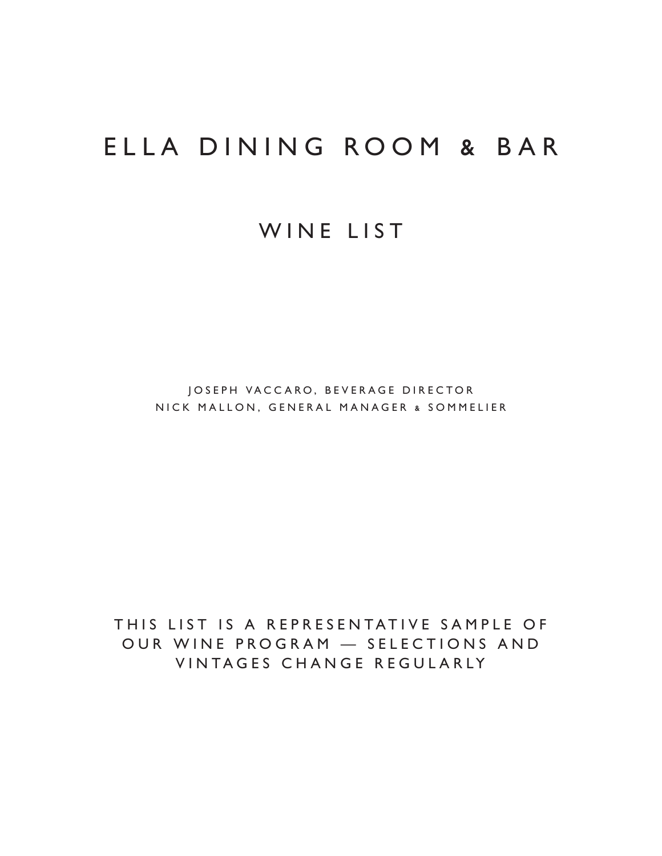### ELLA DINING ROOM & BAR

### WINE LIST

JOSEPH VACCARO, BEVERAGE DIRECTOR NICK MALLON, GENERAL MANAGER & SOMMELIER

THIS LIST IS A REPRESENTATIVE SAMPLE OF OUR WINE PROGRAM — SELECTIONS AND VINTAGES CHANGE REGULARLY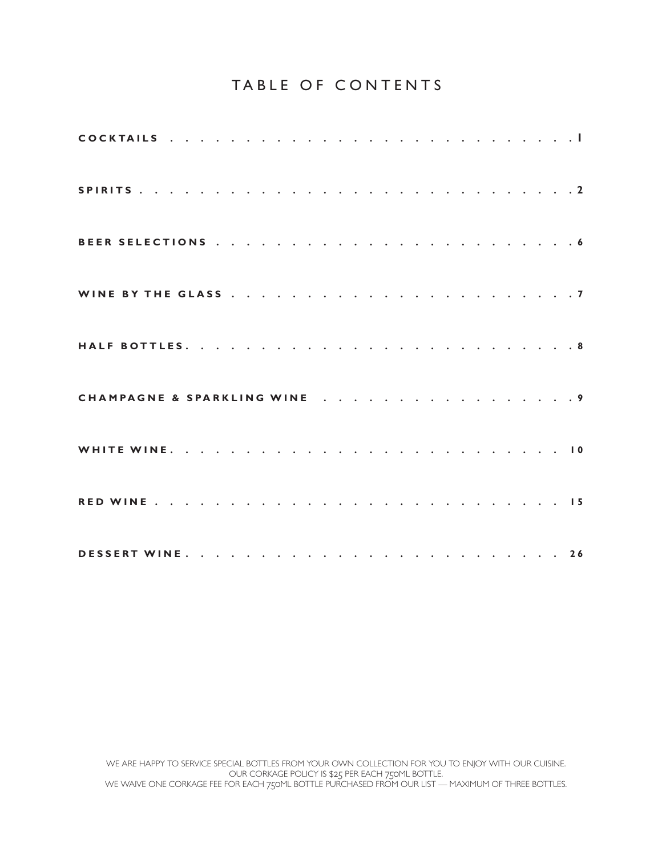#### TABLE OF CONTENTS

| CHAMPAGNE & SPARKLING WINE 9 |  |  |  |  |  |  |  |  |  |  |  |
|------------------------------|--|--|--|--|--|--|--|--|--|--|--|
|                              |  |  |  |  |  |  |  |  |  |  |  |
|                              |  |  |  |  |  |  |  |  |  |  |  |
|                              |  |  |  |  |  |  |  |  |  |  |  |

WE ARE HAPPY TO SERVICE SPECIAL BOTTLES FROM YOUR OWN COLLECTION FOR YOU TO ENJOY WITH OUR CUISINE. OUR CORKAGE POLICY IS \$25 PER EACH 750ML BOTTLE. WE WAIVE ONE CORKAGE FEE FOR EACH 750ML BOTTLE PURCHASED FROM OUR LIST — MAXIMUM OF THREE BOTTLES.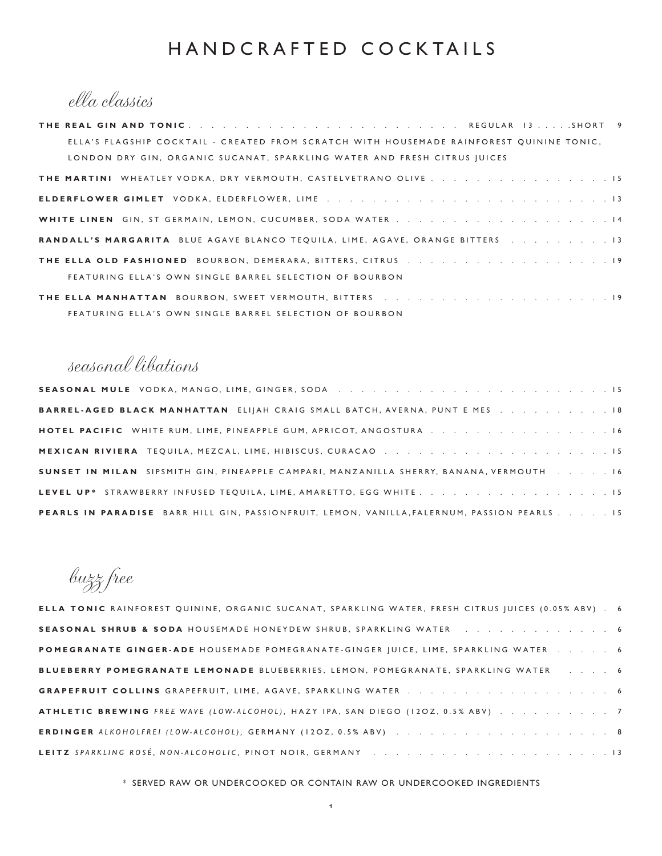### HANDCRAFTED COCKTAILS

ella classics

| ELLA'S FLAGSHIP COCKTAIL - CREATED FROM SCRATCH WITH HOUSEMADE RAINFOREST QUININE TONIC, |
|------------------------------------------------------------------------------------------|
| LONDON DRY GIN, ORGANIC SUCANAT, SPARKLING WATER AND FRESH CITRUS IUICES                 |
| THE MARTINI WHEATLEY VODKA, DRY VERMOUTH, CASTELVETRANO OLIVE 15                         |
|                                                                                          |
|                                                                                          |
| RANDALL'S MARGARITA BLUE AGAVE BLANCO TEQUILA, LIME, AGAVE, ORANGE BITTERS 13            |
|                                                                                          |
| FEATURING ELLA'S OWN SINGLE BARREL SELECTION OF BOURBON                                  |
|                                                                                          |
| FEATURING ELLA'S OWN SINGLE BARREL SELECTION OF BOURBON                                  |

### seasonal libations

| SEASONAL MULE VODKA, MANGO, LIME, GINGER, SODA                                              |
|---------------------------------------------------------------------------------------------|
| <b>BARREL-AGED BLACK MANHATTAN ELIJAH CRAIG SMALL BATCH, AVERNA, PUNT E MES 18</b>          |
| <b>HOTEL PACIFIC</b> WHITE RUM, LIME, PINEAPPLE GUM, APRICOT, ANGOSTURA 16                  |
|                                                                                             |
| SUNSET IN MILAN SIPSMITH GIN, PINEAPPLE CAMPARI, MANZANILLA SHERRY, BANANA, VERMOUTH 16     |
| LEVEL UP* STRAWBERRY INFUSED TEQUILA, LIME, AMARETTO, EGG WHITE. 15                         |
| PEARLS IN PARADISE BARR HILL GIN, PASSIONFRUIT, LEMON, VANILLA, FALERNUM, PASSION PEARLS 15 |

buzz free

| ELLA TONIC RAINFOREST QUININE, ORGANIC SUCANAT, SPARKLING WATER, FRESH CITRUS JUICES (0.05% ABV). 6 |  |
|-----------------------------------------------------------------------------------------------------|--|
| SEASONAL SHRUB & SODA HOUSEMADE HONEYDEW SHRUB, SPARKLING WATER 6                                   |  |
| POMEGRANATE GINGER-ADE HOUSEMADE POMEGRANATE-GINGER JUICE, LIME, SPARKLING WATER 6                  |  |
| BLUEBERRY POMEGRANATE LEMONADE BLUEBERRIES, LEMON, POMEGRANATE, SPARKLING WATER 6                   |  |
|                                                                                                     |  |
| ATHLETIC BREWING FREE WAVE (LOW-ALCOHOL), HAZY IPA, SAN DIEGO (12OZ, 0.5% ABV) 7                    |  |
|                                                                                                     |  |
|                                                                                                     |  |

\* SERVED RAW OR UNDERCOOKED OR CONTAIN RAW OR UNDERCOOKED INGREDIENTS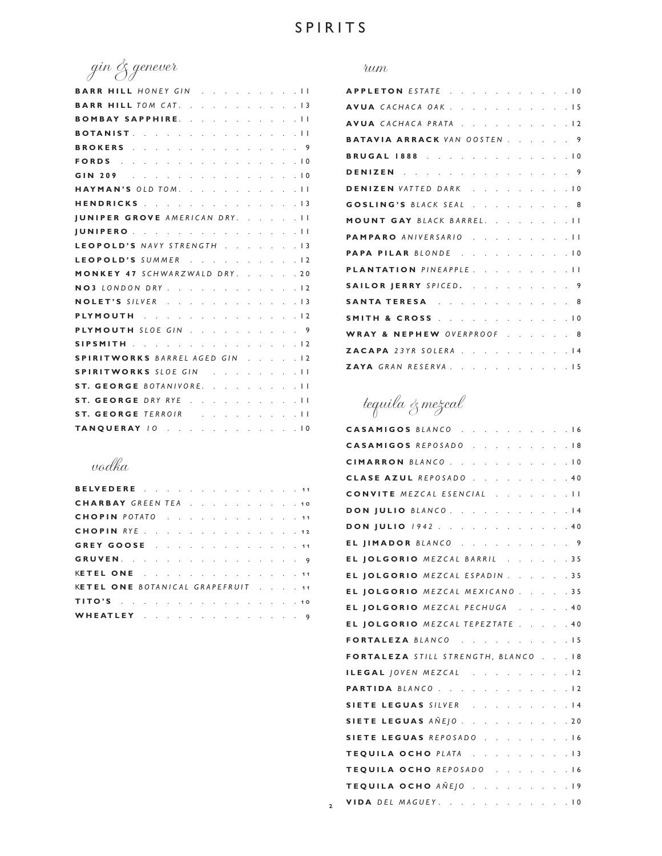2

gin & genever

| BARR HILL HONEY GIN 11                          |  |
|-------------------------------------------------|--|
| <b>BARR HILL TOM CAT.</b> 13                    |  |
| BOMBAY SAPPHIRE. II                             |  |
| BOTANIST. 11                                    |  |
| BROKERS 9                                       |  |
| FORDS 10                                        |  |
| GIN 209 10                                      |  |
| HAYMAN'S OLD TOM. II                            |  |
| HENDRICKS 13                                    |  |
| <b>JUNIPER GROVE AMERICAN DRY.</b> II           |  |
| JUNIPERO 11                                     |  |
| LEOPOLD'S NAVY STRENGTH 13                      |  |
| LEOPOLD'S SUMMER 12                             |  |
| MONKEY 47 SCHWARZWALD DRY. 20                   |  |
| NO3 LONDON DRY 12                               |  |
| NOLET'S SILVER 13                               |  |
| PLYMOUTH Indian and a series and a series of 12 |  |
| PLYMOUTH SLOE GIN 9                             |  |
| SIPSMITH 12                                     |  |
| <b>SPIRITWORKS BARREL AGED GIN 12</b>           |  |
| SPIRITWORKS SLOE GIN 11                         |  |
| ST. GEORGE BOTANIVORE. II                       |  |
| ST. GEORGE DRY RYE 11                           |  |
|                                                 |  |
| TANQUERAY 10 10                                 |  |

### vodka

| BELVEDERE 11                      |  |  |  |  |  |  |  |  |
|-----------------------------------|--|--|--|--|--|--|--|--|
| CHARBAY GREEN TEA 10              |  |  |  |  |  |  |  |  |
| CHOPIN POTATO 11                  |  |  |  |  |  |  |  |  |
| <b>CHOPIN</b> RYE. 12             |  |  |  |  |  |  |  |  |
| <b>GREY GOOSE</b> 11              |  |  |  |  |  |  |  |  |
| GRUVEN. 9                         |  |  |  |  |  |  |  |  |
| KETEL ONE 11                      |  |  |  |  |  |  |  |  |
| KETEL ONE BOTANICAL GRAPEFRUIT 11 |  |  |  |  |  |  |  |  |
| TITO'S 10                         |  |  |  |  |  |  |  |  |
| WHEATLEY 9                        |  |  |  |  |  |  |  |  |

#### rum

| APPLETON ESTATE 10               |
|----------------------------------|
| AVUA CACHACA OAK 15              |
| AVUA CACHACA PRATA 12            |
| BATAVIA ARRACK VAN OOSTEN. 9     |
| BRUGAL 1888 10                   |
| <b>DENIZEN</b> 9                 |
| DENIZEN VATTED DARK 10           |
| GOSLING'S BLACK SEAL 8           |
| MOUNT GAY BLACK BARREL. II       |
| PAMPARO ANIVERSARIO 11           |
| PAPA PILAR BLONDE10              |
| PLANTATION PINEAPPLE. II         |
| SAILOR JERRY SPICED. 9           |
| SANTA TERESA 8                   |
| SMITH & CROSS 10                 |
| WRAY & NEPHEW OVERPROOF 8        |
| <b>ZACAPA</b> 23YR SOLERA 14     |
| <b>ZAYA</b> GRAN RESERVA.<br>.15 |

# tequila & mezcal

| CASAMIGOS BLANCO. 16                |
|-------------------------------------|
| CASAMIGOS REPOSADO 18               |
| CIMARRON BLANCO. 10                 |
| CLASE AZUL REPOSADO 40              |
| CONVITE MEZCAL ESENCIAL II          |
| DON JULIO BLANCO. 14                |
| <b>DON JULIO</b> 1942. 40           |
| EL JIMADOR BLANCO. 9                |
| EL JOLGORIO MEZCAL BARRIL 35        |
| EL JOLGORIO MEZCAL ESPADIN 35       |
| EL JOLGORIO MEZCAL MEXICANO 35      |
| EL JOLGORIO MEZCAL PECHUGA<br>.40   |
| EL JOLGORIO MEZCAL TEPEZTATE 40     |
| FORTALEZA BLANCO 15                 |
| FORTALEZA STILL STRENGTH, BLANCO 18 |
| ILEGAL JOVEN MEZCAL 12              |
| PARTIDA BLANCO. 12                  |
| SIETE LEGUAS SILVER 14              |
| SIETE LEGUAS AÑEJO. 20              |
| SIETE LEGUAS REPOSADO 16            |
| TEQUILA OCHO PLATA 13               |
| TEQUILA OCHO REPOSADO 16            |
| TEQUILA OCHO AÑEJO 19               |
| VIDA DEL MAGUEY. 10                 |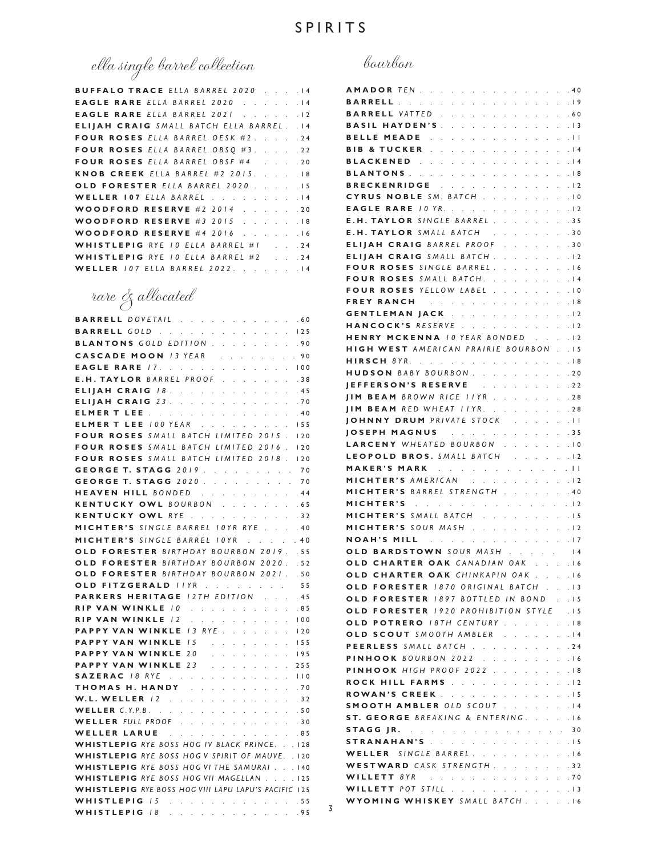# ella single barrel collection

| <b>BUFFALO TRACE ELLA BARREL 2020 14</b>          |  |
|---------------------------------------------------|--|
| EAGLE RARE ELLA BARREL 2020 14                    |  |
| <b>EAGLE RARE ELLA BARREL 2021 12</b>             |  |
| <b>ELIJAH CRAIG</b> SMALL BATCH ELLA BARREL. . 14 |  |
| FOUR ROSES ELLA BARREL OESK #2. 24                |  |
| FOUR ROSES ELLA BARREL OBSQ #3. 22                |  |
| FOUR ROSES ELLA BARREL OBSF #4 20                 |  |
| KNOB CREEK ELLA BARREL #2 2015. 18                |  |
| OLD FORESTER ELLA BARREL 2020 15                  |  |
| WELLER 107 ELLA BARREL 14                         |  |
| <b>WOODFORD RESERVE #2 2014 20</b>                |  |
| <b>WOODFORD RESERVE #3 2015 18</b>                |  |
| <b>WOODFORD RESERVE #4 2016 16</b>                |  |
| WHISTLEPIG RYE 10 ELLA BARREL #1 24               |  |
| WHISTLEPIG RYE 10 ELLA BARREL #2 24               |  |
| WELLER 107 ELLA BARREL 2022. 14                   |  |

rare & allocated

| <b>BARRELL</b> DOVETAIL 60                                                                                             |
|------------------------------------------------------------------------------------------------------------------------|
| <b>BARRELL GOLD</b> 125                                                                                                |
| BLANTONS GOLD EDITION 90                                                                                               |
| CASCADE MOON 13 YEAR 90                                                                                                |
| <b>EAGLE RARE 17. 100</b>                                                                                              |
| E.H. TAYLOR BARREL PROOF 38                                                                                            |
| ELIJAH CRAIG 18.<br>$\Delta \sim 10^{11}$ km s $^{-1}$<br>.45<br>$\mathbb{Z}^{\mathbb{Z}}$ . $\mathbb{Z}^{\mathbb{Z}}$ |
| ELIJAH CRAIG 23.<br>.70                                                                                                |
| <b>ELMER T LEE</b> 40                                                                                                  |
| <b>ELMER T LEE</b> 100 YEAR 155                                                                                        |
| FOUR ROSES SMALL BATCH LIMITED 2015. 120                                                                               |
| FOUR ROSES SMALL BATCH LIMITED 2016. 120                                                                               |
| FOUR ROSES SMALL BATCH LIMITED 2018. 120                                                                               |
| GEORGE T. STAGG 2019<br>70                                                                                             |
| <b>GEORGE T. STAGG 2020 70</b>                                                                                         |
|                                                                                                                        |
| <b>HEAVEN HILL BONDED</b> 44<br><b>KENTUCKY OWL</b> BOURBON 65                                                         |
| KENTUCKY OWL RYE 32                                                                                                    |
| MICHTER'S SINGLE BARREL IOYR RYE 40                                                                                    |
| MICHTER'S SINGLE BARREL IOYR 40                                                                                        |
| OLD FORESTER BIRTHDAY BOURBON 2019. . 55                                                                               |
| OLD FORESTER BIRTHDAY BOURBON 2020. . 52                                                                               |
| OLD FORESTER BIRTHDAY BOURBON 2021. . 50                                                                               |
| OLD FITZGERALD IIYR<br>55                                                                                              |
| <b>PARKERS HERITAGE 12TH EDITION</b><br>.45                                                                            |
| RIP VAN WINKLE 10 85                                                                                                   |
| <b>RIP VAN WINKLE /2</b> 100                                                                                           |
| <b>PAPPY VAN WINKLE / 3 RYE</b><br>$\cdot$ $\cdot$ $\cdot$ $\cdot$ $\cdot$ 120                                         |
| PAPPY VAN WINKLE 15 For a series of the PAPPY VAN WINKLE 15<br>155                                                     |
| PAPPY VAN WINKLE 20<br>. 195                                                                                           |
|                                                                                                                        |
| PAPPY VAN WINKLE 23 255<br>SAZERAC 18 RYE 110                                                                          |
| THOMAS H. HANDY And a series and a<br>.70                                                                              |
| W.L. WELLER 12<br>$\cdot$ $\cdot$ $\cdot$ 32<br>$\Delta \sim 10^{11}$ km s $^{-1}$                                     |
| <b>WELLER</b> C.Y.P.B. 50                                                                                              |
| WELLER FULL PROOF 30                                                                                                   |
| WELLER LARUE 85                                                                                                        |
| WHISTLEPIG RYE BOSS HOG IV BLACK PRINCE. 128                                                                           |
| WHISTLEPIG RYE BOSS HOG V SPIRIT OF MAUVE. . 120                                                                       |
| WHISTLEPIG RYE BOSS HOG VI THE SAMURAI 140                                                                             |
| WHISTLEPIG RYE BOSS HOG VII MAGELLAN 125                                                                               |
| WHISTLEPIG RYE BOSS HOG VIII LAPU LAPU'S PACIFIC 125                                                                   |
| WHISTLEPIG 15 Supply and a support of the U.S.55                                                                       |
|                                                                                                                        |

|   | AMADORTEN<br>the control of the control<br>$\sim$<br>$\epsilon$                                                                                                                                                                                      | . 40               |
|---|------------------------------------------------------------------------------------------------------------------------------------------------------------------------------------------------------------------------------------------------------|--------------------|
|   | BARRELL<br>$\mathcal{L}^{\text{max}}$ .<br>$\ddot{\phantom{a}}$<br>$\ddot{\phantom{0}}$<br>$\ddot{\phantom{0}}$<br>$\ddot{\phantom{0}}$                                                                                                              | .19                |
|   | <b>BARRELL VATTED</b> .<br>$\ddot{\phantom{a}}$<br>$\ddot{\phantom{0}}$                                                                                                                                                                              | .60                |
|   | <b>BASIL HAYDEN'S</b><br>$\mathbf{r}$<br>$\ddot{\phantom{a}}$<br>$\ddot{\phantom{a}}$<br>$\overline{a}$<br>$\ddot{\phantom{a}}$<br>$\overline{a}$<br>$\ddot{\phantom{0}}$                                                                            | .13                |
|   | <b>BELLE MEADE</b><br>$\mathbf{L} = \mathbf{L}$<br>$\mathcal{L}^{\mathcal{L}}$<br>i.<br>$\ddot{\phantom{a}}$<br>$\ddot{\phantom{a}}$<br>$\ddot{\phantom{a}}$<br>$\ddot{\phantom{a}}$<br>$\ddot{\phantom{a}}$<br>$\mathbf{L}$<br>$\ddot{\phantom{0}}$ | . 11               |
|   |                                                                                                                                                                                                                                                      |                    |
|   | BIB & TUCKER<br>$\mathcal{L}$<br>$\mathbf{L}$<br>$\ddot{\phantom{a}}$<br>$\mathcal{L}$<br>$\sim$                                                                                                                                                     | .14                |
|   | BLACKENED<br>$\sim$<br>$\ddot{\phantom{a}}$<br>$\mathcal{L}=\mathcal{L}$<br><b>College</b><br>$\mathbf{L}$<br>$\mathcal{L}$                                                                                                                          | .14                |
|   | BLANTONS<br>$\mathcal{L}$<br>$\mathcal{L}^{\pm}$<br>$\ddot{\phantom{a}}$<br>$\mathbf{r}$<br>$\ddot{\phantom{0}}$<br>$\ddot{\phantom{0}}$<br>$\mathcal{L}^{\mathcal{L}}$                                                                              | .18                |
|   | BRECKENRIDGE                                                                                                                                                                                                                                         | .12                |
|   | CYRUS NOBLE SM. BATCH.<br>$\mathbf{r}$<br>$\mathbf{r}$<br>$\mathbf{r}$<br>$\overline{a}$<br>$\overline{a}$<br>i.                                                                                                                                     | .10                |
|   | <b>EAGLE RARE 10 YR.</b><br>$\ddot{\phantom{a}}$<br>÷.<br>$\mathcal{L}$<br>$\mathbf{r}$<br>$\mathbf{r}$<br>$\mathbf{r}$<br>i.                                                                                                                        | .12                |
|   | <b>E.H. TAYLOR</b> SINGLE BARREL.<br><b>Carl Control</b>                                                                                                                                                                                             | .35                |
|   | <b>E.H. TAYLOR</b> SMALL BATCH<br>and a state of the<br>$\mathbf{L}$                                                                                                                                                                                 | . 30               |
|   | <b>ELIIAH CRAIG BARREL PROOF</b><br>$\mathcal{L}^{\pm}$<br>$\ddot{\phantom{a}}$<br>$\mathbb{Z}^2$<br>$\ddot{\phantom{0}}$                                                                                                                            | .30                |
|   | <b>ELIJAH CRAIG</b> SMALL BATCH.<br>$\ddot{\phantom{a}}$                                                                                                                                                                                             | .12                |
|   | FOUR ROSES SINGLE BARREL.<br>$\mathbf{r}$<br>$\mathbf{r}$<br>$\ddot{\phantom{0}}$                                                                                                                                                                    | .16                |
|   | FOUR ROSES SMALL BATCH.<br>$\ddot{\phantom{a}}$                                                                                                                                                                                                      | .14                |
|   | FOUR ROSES YELLOW LABEL.<br>$\mathbb{Z}^2$<br>$\mathbb{Z}^2$<br>$\ddot{\phantom{a}}$                                                                                                                                                                 | .10                |
|   |                                                                                                                                                                                                                                                      | .18                |
|   | FREY RANCH                                                                                                                                                                                                                                           |                    |
|   | GENTLEMAN JACK<br>$\mathcal{L}^{\pm}$<br>$\mathcal{L}^{\mathcal{L}}$<br>and a state<br>$\mathbf{r}$<br>$\mathcal{L}^{\text{max}}$                                                                                                                    | .12                |
|   | HANCOCK'S RESERVE<br>$\mathbf{L}^{\text{max}}$<br>$\mathcal{L}^{\mathcal{L}}$<br>$\ddot{\phantom{0}}$<br>$\mathcal{L}^{\mathcal{L}}$<br>$\mathbf{r} = \mathbf{r}$<br>$\mathbf{r}$<br>$\mathbf{r}$                                                    | .12                |
|   | <b>HENRY MCKENNA 10 YEAR BONDED</b><br>$\ldots$ $\ldots$ $\sqrt{2}$                                                                                                                                                                                  |                    |
|   | <b>HIGH WEST AMERICAN PRAIRIE BOURBON</b>                                                                                                                                                                                                            | $\cdot$ $\cdot$ 15 |
|   | HIRSCH 8YR.<br>$\epsilon$                                                                                                                                                                                                                            | .18                |
|   | <b>HUDSON</b> BABY BOURBON.<br>$\mathcal{L}^{\mathcal{L}}$                                                                                                                                                                                           | . 20               |
|   | IEFFERSON'S RESERVE<br>$\overline{a}$<br>$\mathbf{r}$<br>$\ddot{\phantom{a}}$<br>$\sim$<br>$\mathbf{r}$                                                                                                                                              | .22                |
|   | <b>IIM BEAM</b> BROWN RICE IIYR<br>$\mathbf{r}$<br>$\mathbf{r}$<br>$\mathbf{r}$<br>$\mathbf{r}$<br>$\ddot{\phantom{a}}$<br>$\mathcal{L}^{\mathcal{L}}$<br>$\ddot{\phantom{0}}$                                                                       | .28                |
|   | <b>JIM BEAM</b> RED WHEAT IIYR<br>$\mathcal{L}^{\text{max}}$ , and $\mathcal{L}^{\text{max}}$                                                                                                                                                        | .28                |
|   | <b>IOHNNY DRUM</b> PRIVATE STOCK<br>$\mathcal{L}^{\mathcal{L}}$<br>$\ddot{\phantom{0}}$                                                                                                                                                              | .11                |
|   | JOSEPH MAGNUS<br>and a state of the state<br>and a state<br>$\ddot{\phantom{0}}$                                                                                                                                                                     | . 35               |
|   | LARCENY WHEATED BOURBON.                                                                                                                                                                                                                             | .10                |
|   | LEOPOLD BROS. SMALL BATCH                                                                                                                                                                                                                            |                    |
|   | $\sim$<br>$\mathbf{r}$<br>$\mathbf{r}$<br>$\mathbf{r}$                                                                                                                                                                                               | . 12               |
|   | MAKER'S MARK<br>$\mathcal{L}^{\text{max}}$<br>$\sim$<br>$\mathcal{L}^{\text{max}}$<br>$\sim$                                                                                                                                                         | $. \perp \perp$    |
|   | MICHTER'S AMERICAN                                                                                                                                                                                                                                   |                    |
|   | MICHTER'S BARREL STRENGTH 40                                                                                                                                                                                                                         |                    |
|   | MICHTER'S Teachers and a series and a                                                                                                                                                                                                                | $\cdot$ $\cdot$ 12 |
|   | MICHTER'S SMALL BATCH<br>. 15                                                                                                                                                                                                                        |                    |
|   | MICHTER'S SOUR MASH<br>$\sim$<br>$\mathbf{r}$<br>$\mathbf{r}$<br>$\overline{a}$<br>$\mathcal{L}^{\mathcal{L}}$                                                                                                                                       | .12                |
|   | <b>NOAH'S MILL Albeman</b><br>$\mathcal{L}^{\pm}$<br>$\sim$<br>$\mathcal{L}^{\text{max}}$<br>$\mathcal{L}^{\pm}$<br>$\mathcal{L}^{\mathcal{L}}$<br>$\ddot{\phantom{0}}$                                                                              | .17                |
|   | OLD BARDSTOWN SOUR MASH 14                                                                                                                                                                                                                           |                    |
|   | OLD CHARTER OAK CANADIAN OAK 16                                                                                                                                                                                                                      |                    |
|   | OLD CHARTER OAK CHINKAPIN OAK 16                                                                                                                                                                                                                     |                    |
|   | OLD FORESTER 1870 ORIGINAL BATCH 13                                                                                                                                                                                                                  |                    |
|   | OLD FORESTER 1897 BOTTLED IN BOND 15                                                                                                                                                                                                                 |                    |
|   | OLD FORESTER 1920 PROHIBITION STYLE . 15                                                                                                                                                                                                             |                    |
|   |                                                                                                                                                                                                                                                      |                    |
|   | OLD POTRERO 18TH CENTURY 18                                                                                                                                                                                                                          |                    |
|   | OLD SCOUT SMOOTH AMBLER 14                                                                                                                                                                                                                           |                    |
|   | PEERLESS SMALL BATCH 24                                                                                                                                                                                                                              |                    |
|   | <b>PINHOOK BOURBON 2022 16</b>                                                                                                                                                                                                                       |                    |
|   | <b>PINHOOK HIGH PROOF 2022 18</b>                                                                                                                                                                                                                    |                    |
|   | ROCK HILL FARMS<br>$\mathcal{L}^{\text{max}}$                                                                                                                                                                                                        | .12                |
|   | ROWAN'S CREEK 15                                                                                                                                                                                                                                     |                    |
|   | SMOOTH AMBLER OLD SCOUT 14                                                                                                                                                                                                                           |                    |
|   | ST. GEORGE BREAKING & ENTERING. 16                                                                                                                                                                                                                   |                    |
|   | <b>STAGG JR.</b> 30                                                                                                                                                                                                                                  |                    |
|   | STRANAHAN'S 15                                                                                                                                                                                                                                       |                    |
|   | WELLER SINGLE BARREL<br>and a state<br>$\mathcal{L}^{\pm}$<br>$\ddot{\phantom{0}}$<br>$\sim$                                                                                                                                                         | .16                |
|   | WESTWARD CASK STRENGTH.                                                                                                                                                                                                                              | . . 32             |
|   |                                                                                                                                                                                                                                                      |                    |
|   | <b>WILLETT 8YR</b> 70                                                                                                                                                                                                                                |                    |
|   | WILLETT POT STILL 13                                                                                                                                                                                                                                 |                    |
| 3 | WYOMING WHISKEY SMALL BATCH. 16                                                                                                                                                                                                                      |                    |
|   |                                                                                                                                                                                                                                                      |                    |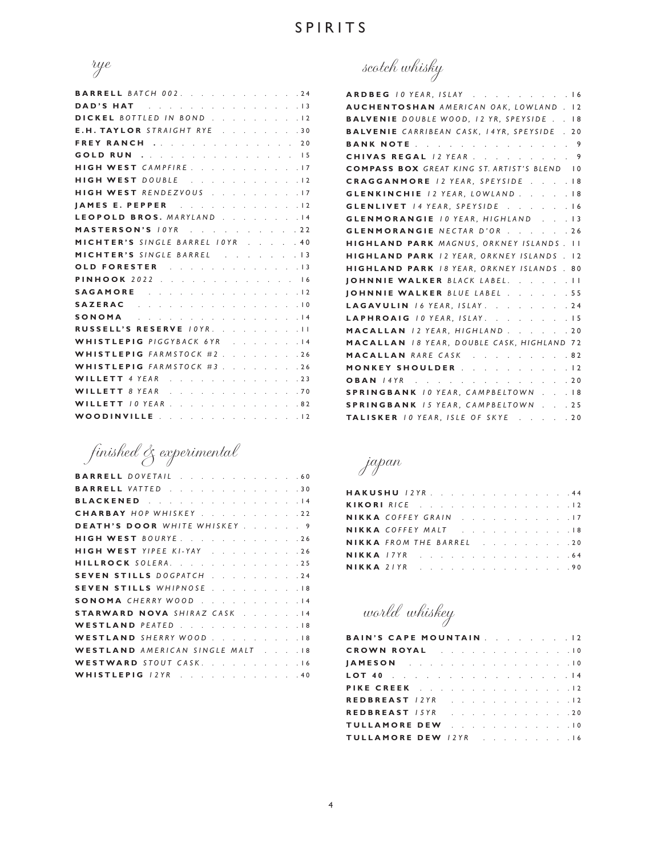

| <b>BARRELL BATCH 002. 24</b>                                                                                                                                                                                                   |
|--------------------------------------------------------------------------------------------------------------------------------------------------------------------------------------------------------------------------------|
| <b>DAD'S HAT EXECUTE:</b> A RESIDENCE A RESIDENCE AND <b>RESIDENT</b>                                                                                                                                                          |
| DICKEL BOTTLED IN BOND 12                                                                                                                                                                                                      |
| E.H. TAYLOR STRAIGHT RYE 30                                                                                                                                                                                                    |
| FREY RANCH 20                                                                                                                                                                                                                  |
| <b>GOLD RUN</b> 15                                                                                                                                                                                                             |
| HIGH WEST CAMPFIRE. 17                                                                                                                                                                                                         |
| HIGH WEST DOUBLE 12                                                                                                                                                                                                            |
| HIGH WEST RENDEZVOUS 17                                                                                                                                                                                                        |
| JAMES E. PEPPER 12                                                                                                                                                                                                             |
| LEOPOLD BROS. MARYLAND 14                                                                                                                                                                                                      |
| MASTERSON'S <i>IOYR</i> 22                                                                                                                                                                                                     |
| MICHTER'S SINGLE BARREL 10YR 40                                                                                                                                                                                                |
| MICHTER'S SINGLE BARREL 13                                                                                                                                                                                                     |
| OLD FORESTER 13                                                                                                                                                                                                                |
| <b>PINHOOK</b> 2022 16                                                                                                                                                                                                         |
| SAGAMORE 12                                                                                                                                                                                                                    |
| SAZERAC Research and a series and series and series and series and series and series and series and series and series and series and series and series and series and series are series and series and series are series and s |
| SONOMA 14                                                                                                                                                                                                                      |
| RUSSELL'S RESERVE 10YR. 11                                                                                                                                                                                                     |
| WHISTLEPIG PIGGYBACK 6YR 14                                                                                                                                                                                                    |
| WHISTLEPIG FARMSTOCK #2. 26                                                                                                                                                                                                    |
| WHISTLEPIG FARMSTOCK #3 26                                                                                                                                                                                                     |
| <b>WILLETT</b> 4 YEAR 23                                                                                                                                                                                                       |
| <b>WILLETT 8 YEAR</b> 70                                                                                                                                                                                                       |
| WILLETT / 0 YEAR 82                                                                                                                                                                                                            |
| WOODINVILLE 12                                                                                                                                                                                                                 |

finished & experimental

| <b>BARRELL</b> DOVETAIL 60           |  |     |
|--------------------------------------|--|-----|
| <b>BARRELL VATTED</b> 30             |  |     |
| BLACKENED                            |  | .14 |
| CHARBAY HOP WHISKEY                  |  | .22 |
| DEATH'S DOOR WHITE WHISKEY 9         |  |     |
| HIGH WEST BOURYE. 26                 |  |     |
| HIGH WEST YIPEE KI-YAY               |  | .26 |
| HILLROCK SOLERA.                     |  | .25 |
| SEVEN STILLS DOGPATCH                |  | .24 |
| SEVEN STILLS WHIPNOSE                |  | .18 |
| SONOMA CHERRY WOOD                   |  | .14 |
| <b>STARWARD NOVA SHIRAZ CASK</b>     |  | .14 |
| WESTLAND PEATED                      |  | .18 |
| WESTLAND SHERRY WOOD.                |  | .18 |
| <b>WESTLAND</b> AMERICAN SINGLE MALT |  | .18 |
| WESTWARD STOUT CASK. 16              |  |     |
| WHISTLEPIG /2YR 40                   |  |     |

scotch whisky

| ARDBEG 10 YEAR, ISLAY 16                            |
|-----------------------------------------------------|
| AUCHENTOSHAN AMERICAN OAK, LOWLAND. 12              |
| <b>BALVENIE DOUBLE WOOD, 12 YR, SPEYSIDE 18</b>     |
| <b>BALVENIE</b> CARRIBEAN CASK, 14YR, SPEYSIDE . 20 |
| <b>BANK NOTE</b> 9                                  |
| CHIVAS REGAL 12 YEAR 9                              |
| <b>COMPASS BOX GREAT KING ST. ARTIST'S BLEND 10</b> |
| CRAGGANMORE 12 YEAR, SPEYSIDE 18                    |
| GLENKINCHIE 12 YEAR, LOWLAND. 18                    |
| GLENLIVET /4 YEAR, SPEYSIDE 16                      |
| <b>GLENMORANGIE 10 YEAR, HIGHLAND 13</b>            |
| <b>GLENMORANGIE NECTAR D'OR 26</b>                  |
| HIGHLAND PARK MAGNUS, ORKNEY ISLANDS. II            |
| HIGHLAND PARK 12 YEAR, ORKNEY ISLANDS . 12          |
| <b>HIGHLAND PARK 18 YEAR, ORKNEY ISLANDS. 80</b>    |
| JOHNNIE WALKER BLACK LABEL. II                      |
| JOHNNIE WALKER BLUE LABEL 55                        |
| LAGAVULIN 16 YEAR, ISLAY. 24                        |
| LAPHROAIG 10 YEAR, ISLAY. 15                        |
| MACALLAN /2 YEAR, HIGHLAND 20                       |
| <b>MACALLAN</b> 18 YEAR, DOUBLE CASK, HIGHLAND 72   |
| MACALLAN RARE CASK 82                               |
| MONKEY SHOULDER 12                                  |
| <b>OBAN</b> 14YR 20                                 |
| <b>SPRINGBANK 10 YEAR, CAMPBELTOWN18</b>            |
| <b>SPRINGBANK 15 YEAR, CAMPBELTOWN 25</b>           |
| TALISKER 10 YEAR, ISLE OF SKYE 20                   |

japan

| HAKUSHU 12YR. 44                |  |  |  |  |  |  |  |  |
|---------------------------------|--|--|--|--|--|--|--|--|
| KIKORI RICE 12                  |  |  |  |  |  |  |  |  |
| NIKKA COFFEY GRAIN 17           |  |  |  |  |  |  |  |  |
| NIKKA COFFEY MALT 18            |  |  |  |  |  |  |  |  |
| <b>NIKKA</b> FROM THE BARREL 20 |  |  |  |  |  |  |  |  |
| <b>NIKKA</b> 17YR 64            |  |  |  |  |  |  |  |  |
| <b>NIKKA</b> 21YR 90            |  |  |  |  |  |  |  |  |

world whiskey

| <b>BAIN'S CAPE MOUNTAIN</b> 12 |  |  |  |  |  |  |
|--------------------------------|--|--|--|--|--|--|
| CROWN ROYAL 10                 |  |  |  |  |  |  |
| JAMESON 10                     |  |  |  |  |  |  |
| LOT 40 14                      |  |  |  |  |  |  |
| PIKE CREEK 12                  |  |  |  |  |  |  |
| REDBREAST 12YR 12              |  |  |  |  |  |  |
| REDBREAST 15YR 20              |  |  |  |  |  |  |
| TULLAMORE DEW 10               |  |  |  |  |  |  |
| TULLAMORE DEW 12YR 16          |  |  |  |  |  |  |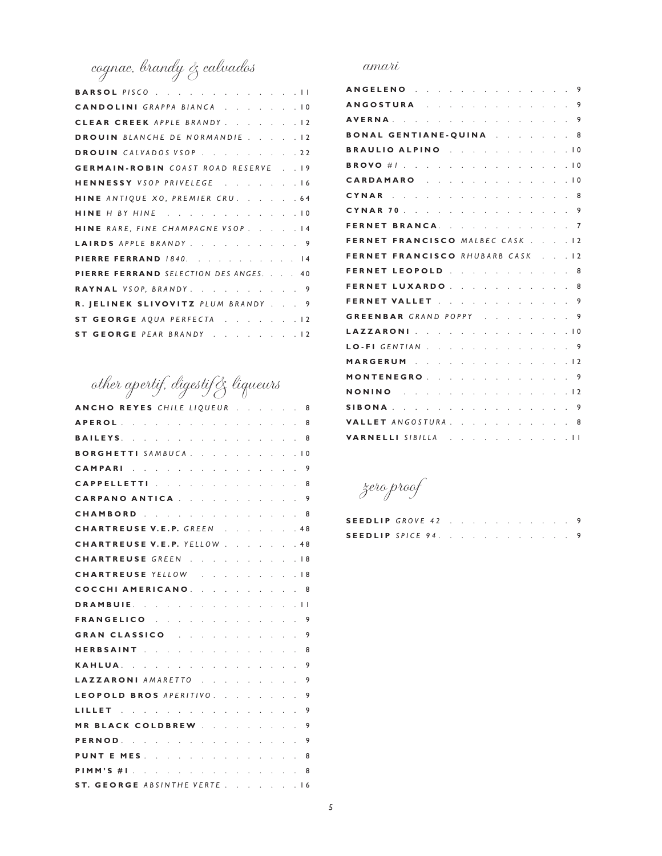cognac, brandy & calvados

| BARSOL PISCO 11                            |
|--------------------------------------------|
| CANDOLINI GRAPPA BIANCA 10                 |
| CLEAR CREEK APPLE BRANDY. 12               |
| DROUIN BLANCHE DE NORMANDIE 12             |
| DROUIN CALVADOS VSOP. 22                   |
| <b>GERMAIN-ROBIN</b> COAST ROAD RESERVE 19 |
| HENNESSY VSOP PRIVELEGE 16                 |
| HINE ANTIQUE XO, PREMIER CRU. 64           |
| HINE H BY HINE 10                          |
| HINE RARE, FINE CHAMPAGNE VSOP. 14         |
| LAIRDS APPLE BRANDY. 9                     |
| PIERRE FERRAND 1840. 14                    |
| PIERRE FERRAND SELECTION DES ANGES. 40     |
| RAYNAL VSOP, BRANDY. 9                     |
| R. JELINEK SLIVOVITZ PLUM BRANDY 9         |
| ST GEORGE AQUA PERFECTA 12                 |
| ST GEORGE PEAR BRANDY 12                   |

## other apertif, digestif& liqueurs

| ANCHO REYES CHILE LIQUEUR                                       |                      |              |                                 |                            | 8              |
|-----------------------------------------------------------------|----------------------|--------------|---------------------------------|----------------------------|----------------|
| <b>APEROL</b><br>the company of the company of the company of   |                      |              |                                 | <b>Contract</b>            | 8              |
| BAILEYS.                                                        |                      |              |                                 | . 8                        |                |
| <b>BORGHETTI</b> SAMBUCA<br><b>Carl Carl Carl</b>               |                      | l.           |                                 | $\overline{a}$             | $\overline{0}$ |
| CAMPARI 9                                                       |                      |              |                                 |                            |                |
| CAPPELLETTI                                                     |                      | $\mathbf{r}$ |                                 | a car                      | 8              |
| CARPANO ANTICA.                                                 |                      |              |                                 |                            | 9              |
| CHAMBORD 8                                                      |                      |              |                                 |                            |                |
| CHARTREUSE V.E.P. GREEN                                         |                      |              |                                 | .48                        |                |
| CHARTREUSE V.E.P. YELLOW                                        |                      |              |                                 | .48                        |                |
| CHARTREUSE GREEN                                                |                      |              |                                 |                            | $\overline{8}$ |
| CHARTREUSE YELLOW                                               |                      |              |                                 | .18                        |                |
| COCCHI AMERICANO.                                               |                      |              |                                 |                            | 8              |
| DRAMBUIE.                                                       |                      |              |                                 | $\sim$ 11                  |                |
| FRANGELICO                                                      |                      |              |                                 | $\mathcal{L}^{\text{max}}$ | 9              |
| GRAN CLASSICO                                                   |                      |              |                                 |                            | 9              |
| HERBSAINT                                                       |                      |              |                                 |                            | 8              |
| <b>KAHLUA</b>                                                   |                      |              |                                 |                            | 9              |
| LAZZARONI AMARETTO                                              |                      |              |                                 |                            | 9              |
| LEOPOLD BROS APERITIVO.                                         |                      |              | <b>Contract Contract Street</b> |                            | 9              |
| and the company of the company<br>LILLET .                      |                      |              |                                 | $\mathbf{L}^{\text{max}}$  | 9              |
| MR BLACK COLDBREW                                               | $\ddot{\phantom{a}}$ |              |                                 |                            | 9              |
| <b>PERNOD.</b>                                                  |                      |              |                                 |                            | 9              |
| MES<br><b>PUNT E</b>                                            |                      |              |                                 |                            | 8              |
| and the second contract of the second contract of the<br>MM'S H |                      |              |                                 |                            | 8              |
| <b>GEORGE</b> ABSINTHE VERTE<br>ST.                             |                      |              |                                 | L.                         | 16             |

#### amari

| and the contract of the contract of the contract of the contract of the contract of the contract of the contract of the contract of the contract of the contract of the contract of the contract of the contract of the contra<br>ANGELENO. |  | 9              |
|---------------------------------------------------------------------------------------------------------------------------------------------------------------------------------------------------------------------------------------------|--|----------------|
| ANGOSTURA                                                                                                                                                                                                                                   |  | 9              |
| and the contract of the contract of the contract of<br><b>AVERNA</b>                                                                                                                                                                        |  | 9              |
| BONAL GENTIANE-QUINA 8                                                                                                                                                                                                                      |  |                |
| BRAULIO ALPINO                                                                                                                                                                                                                              |  | $\overline{0}$ |
| and the company of the company of the company of<br><b>BROVO</b> #1                                                                                                                                                                         |  | $\overline{0}$ |
| a construction of the construction of the<br>CARDAMARO                                                                                                                                                                                      |  | 1 O            |
| and the second contract of the second contract of the<br>CYNAR                                                                                                                                                                              |  | 8              |
| CYNAR 70                                                                                                                                                                                                                                    |  | 9              |
| <b>BRANCA.</b> 7<br><b>FERNET</b>                                                                                                                                                                                                           |  |                |
| FRANCISCO MALBEC CASK 12<br>FERNET                                                                                                                                                                                                          |  |                |
| <b>FRANCISCO</b> RHUBARB CASK<br><b>FERNET</b>                                                                                                                                                                                              |  | $\overline{2}$ |
| LEOPOLD<br><b>FERNET</b>                                                                                                                                                                                                                    |  | 8              |
| $\mathcal{A}$ . The second constraint is a set of $\mathcal{A}$<br>LUXARDO.<br><b>FERNET</b>                                                                                                                                                |  | 8              |
| <b>FERNET VALLET</b> 9                                                                                                                                                                                                                      |  |                |
| GREENBAR GRAND POPPY 9                                                                                                                                                                                                                      |  |                |
| LAZZARONI 10                                                                                                                                                                                                                                |  |                |
| LO-FI GENTIAN 9                                                                                                                                                                                                                             |  |                |
| MARGERUM 12                                                                                                                                                                                                                                 |  |                |
| MONTENEGRO 9                                                                                                                                                                                                                                |  |                |
| a na kama na kama na kama na kama<br><b>NONINO</b>                                                                                                                                                                                          |  | $\overline{1}$ |
| . 9<br>SIBONA                                                                                                                                                                                                                               |  |                |
| VALLET ANGOSTURA.                                                                                                                                                                                                                           |  | 8              |
| VARNELLI SIBILLA 11                                                                                                                                                                                                                         |  |                |

zero proof

| SEEDLIP GROVE 42 9  |  |  |  |  |  |  |
|---------------------|--|--|--|--|--|--|
| SEEDLIP SPICE 94. 9 |  |  |  |  |  |  |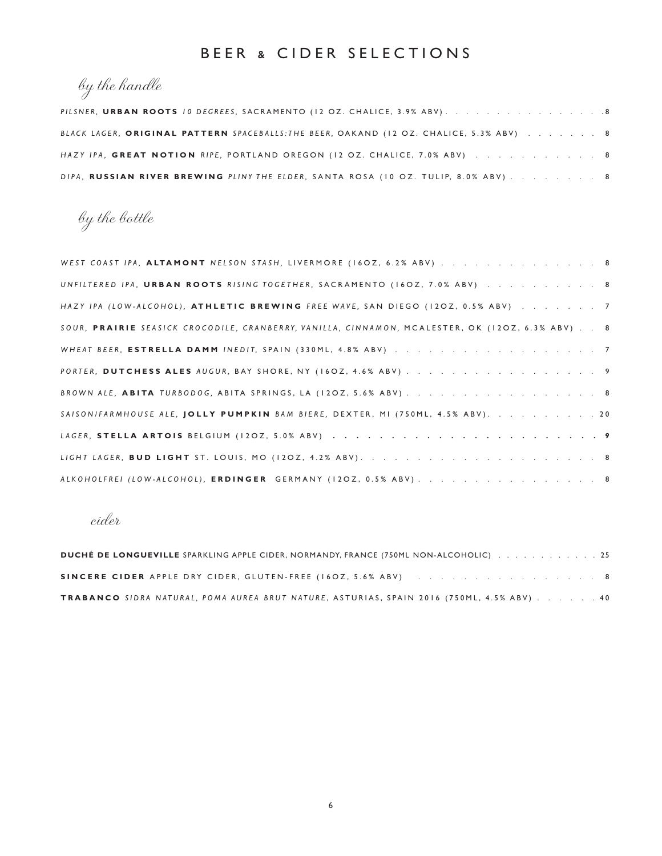#### BEER & CIDER SELECTIONS

## by the handle

| PILSNER, URBAN ROOTS 10 DEGREES, SACRAMENTO (12 OZ. CHALICE, 3.9% ABV). 8               |  |
|-----------------------------------------------------------------------------------------|--|
| BLACK LAGER, ORIGINAL PATTERN SPACEBALLS: THE BEER, OAKAND (12 OZ. CHALICE, 5.3% ABV) 8 |  |
| HAZY IPA, GREAT NOTION RIPE, PORTLAND OREGON (12 OZ. CHALICE, 7.0% ABV) 8               |  |
| DIPA, RUSSIAN RIVER BREWING PLINY THE ELDER, SANTA ROSA (10 OZ. TULIP, 8.0% ABV). 8     |  |

by the bottle

| WEST COAST IPA, ALTAMONT NELSON STASH, LIVERMORE (16OZ, 6.2% ABV) 8                             |  |
|-------------------------------------------------------------------------------------------------|--|
| UNFILTERED IPA, URBAN ROOTS RISING TOGETHER, SACRAMENTO (16OZ, 7.0% ABV) 8                      |  |
| HAZY IPA (LOW-ALCOHOL), ATHLETIC BREWING FREE WAVE, SAN DIEGO (12OZ, 0.5% ABV) 7                |  |
| SOUR, PRAIRIE SEASICK CROCODILE, CRANBERRY, VANILLA, CINNAMON, MCALESTER, OK (12OZ, 6.3% ABV) 8 |  |
|                                                                                                 |  |
| PORTER, DUTCHESS ALES AUGUR, BAY SHORE, NY (16OZ, 4.6% ABV) 9                                   |  |
| BROWN ALE, ABITA TURBODOG, ABITA SPRINGS, LA (12OZ, 5.6% ABV)                                   |  |
| SAISON/FARMHOUSE ALE, JOLLY PUMPKIN BAM BIERE, DEXTER, MI (750ML, 4.5% ABV). 20                 |  |
|                                                                                                 |  |
|                                                                                                 |  |
| ALKOHOLFREI (LOW-ALCOHOL), ERDINGER GERMANY (12OZ, 0.5% ABV). 8                                 |  |

cider

| DUCHÉ DE LONGUEVILLE SPARKLING APPLE CIDER, NORMANDY, FRANCE (750ML NON-ALCOHOLIC) 25            |  |
|--------------------------------------------------------------------------------------------------|--|
| SINCERE CIDER APPLE DRY CIDER, GLUTEN-FREE (16OZ, 5.6% ABV) 8                                    |  |
| <b>TRABANCO</b> SIDRA NATURAL, POMA AUREA BRUT NATURE, ASTURIAS, SPAIN 2016 (750ML, 4.5% ABV) 40 |  |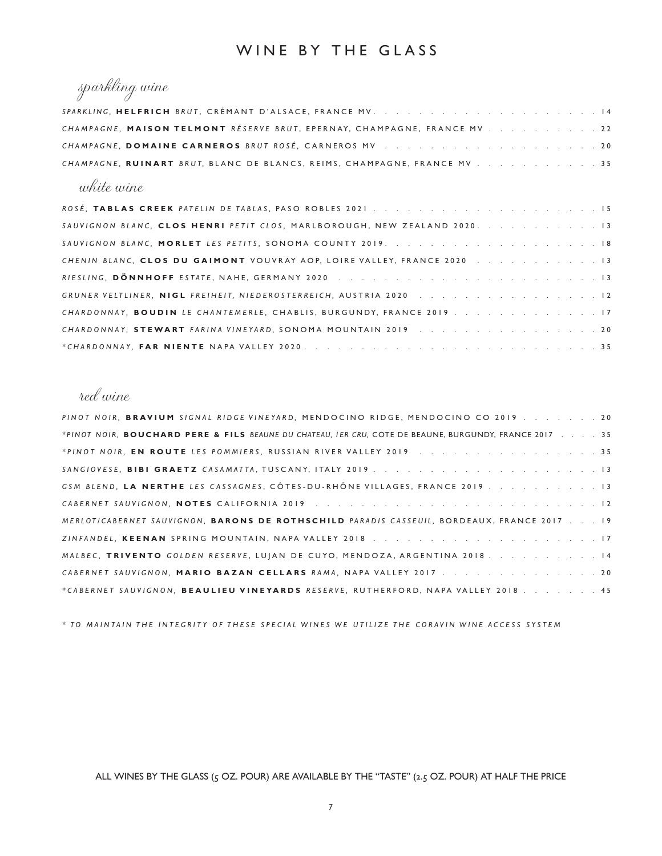#### WINE BY THE GLASS

### sparkling wine

| CHAMPAGNE, MAISON TELMONT RÉSERVE BRUT, EPERNAY, CHAMPAGNE, FRANCE MV 22 |  |
|--------------------------------------------------------------------------|--|
|                                                                          |  |
| CHAMPAGNE, RUINART BRUT, BLANC DE BLANCS, REIMS, CHAMPAGNE, FRANCE MV 35 |  |

#### white wine

| SAUVIGNON BLANC, CLOS HENRI PETIT CLOS, MARLBOROUGH, NEW ZEALAND 2020. 13 |
|---------------------------------------------------------------------------|
|                                                                           |
| CHENIN BLANC, CLOS DU GAIMONT VOUVRAY AOP, LOIRE VALLEY, FRANCE 2020 13   |
|                                                                           |
|                                                                           |
| CHARDONNAY, BOUDIN LE CHANTEMERLE, CHABLIS, BURGUNDY, FRANCE 2019 17      |
| CHARDONNAY, STEWART FARINA VINEYARD, SONOMA MOUNTAIN 2019 20              |
|                                                                           |

#### red wine

| PINOT NOIR, BRAVIUM SIGNAL RIDGE VINEYARD, MENDOCINO RIDGE, MENDOCINO CO 2019. 20                      |
|--------------------------------------------------------------------------------------------------------|
| *PINOT NOIR, BOUCHARD PERE & FILS BEAUNE DU CHATEAU, IER CRU, COTE DE BEAUNE, BURGUNDY, FRANCE 2017 35 |
| *PINOT NOIR, EN ROUTE LES POMMIERS, RUSSIAN RIVER VALLEY 2019 35                                       |
|                                                                                                        |
| GSM BLEND, LA NERTHE LES CASSAGNES, CÔTES-DU-RHÔNE VILLAGES, FRANCE 2019 13                            |
|                                                                                                        |
| MERLOT/CABERNET SAUVIGNON, BARONS DE ROTHSCHILD PARADIS CASSEUIL, BORDEAUX, FRANCE 2017 19             |
|                                                                                                        |
| MALBEC, TRIVENTO GOLDEN RESERVE, LUIAN DE CUYO, MENDOZA, ARGENTINA 2018. 14                            |
| CABERNET SAUVIGNON, MARIO BAZAN CELLARS RAMA, NAPA VALLEY 2017. 20                                     |
| *CABERNET SAUVIGNON, BEAULIEU VINEYARDS RESERVE, RUTHERFORD, NAPA VALLEY 2018. 45                      |

*\* TO MAINTAIN THE INTEGRITY OF THESE SPECIAL WINES WE UTILIZE THE CORAVIN WINE ACCESS SYSTEM*

ALL WINES BY THE GLASS (5 OZ. POUR) ARE AVAILABLE BY THE "TASTE" (2.5 OZ. POUR) AT HALF THE PRICE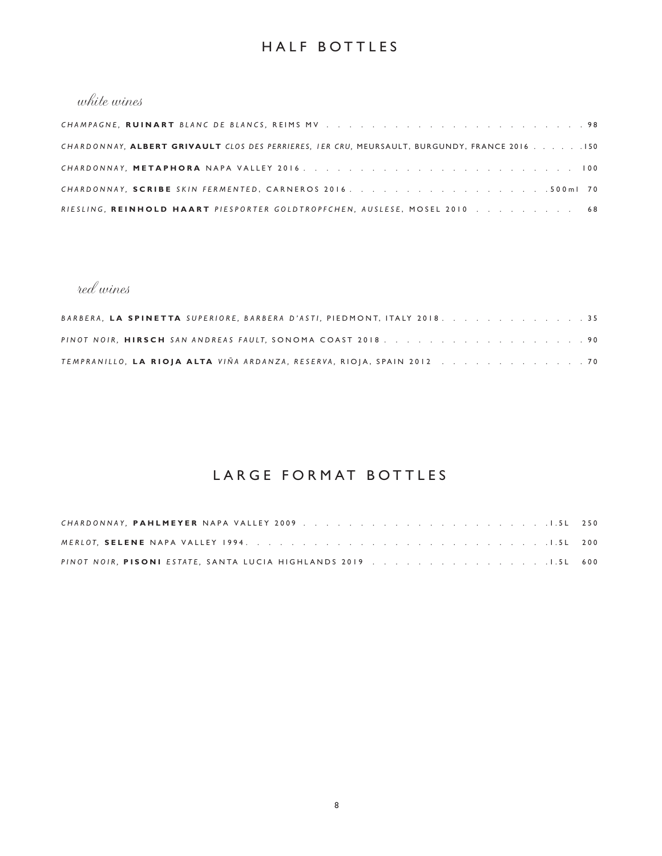#### HALF BOTTLES

#### white wines

| CHARDONNAY, ALBERT GRIVAULT CLOS DES PERRIERES, IER CRU, MEURSAULT, BURGUNDY, FRANCE 2016 150 |  |
|-----------------------------------------------------------------------------------------------|--|
|                                                                                               |  |
|                                                                                               |  |
| RIESLING, REINHOLD HAART PIESPORTER GOLDTROPFCHEN, AUSLESE, MOSEL 2010 68                     |  |

#### red wines

| BARBERA, LA SPINETTA SUPERIORE, BARBERA D'ASTI, PIEDMONT, ITALY 2018. 35 |  |  |  |  |  |
|--------------------------------------------------------------------------|--|--|--|--|--|
|                                                                          |  |  |  |  |  |
| TEMPRANILLO, LA RIOJA ALTA VIÑA ARDANZA, RESERVA, RIOJA, SPAIN 2012 70   |  |  |  |  |  |

#### LARGE FORMAT BOTTLES

| PINOT NOIR, PISONI ESTATE, SANTA LUCIA HIGHLANDS 2019 1.5L 600 |  |
|----------------------------------------------------------------|--|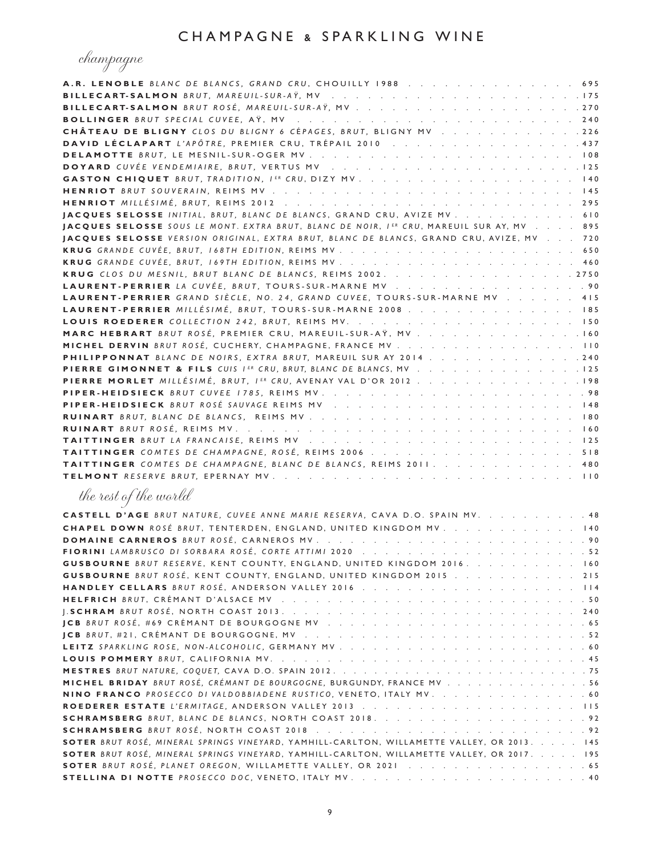champagne

| A.R. LENOBLE BLANC DE BLANCS, GRAND CRU, CHOUILLY 1988 695                                                                 |     |
|----------------------------------------------------------------------------------------------------------------------------|-----|
|                                                                                                                            |     |
|                                                                                                                            |     |
|                                                                                                                            |     |
| CHÂTEAU DE BLIGNY CLOS DU BLIGNY 6 CÉPAGES, BRUT, BLIGNY MV 226<br>DAVID LÉCLAPART L'APÔTRE, PREMIER CRU, TRÉPAIL 2010 437 |     |
|                                                                                                                            |     |
|                                                                                                                            |     |
|                                                                                                                            |     |
|                                                                                                                            |     |
|                                                                                                                            |     |
| JACQUES SELOSSE INITIAL, BRUT, BLANC DE BLANCS, GRAND CRU, AVIZE MV 610                                                    |     |
| JACQUES SELOSSE SOUS LE MONT. EXTRA BRUT, BLANC DE NOIR, IER CRU, MAREUIL SUR AY, MV 895                                   |     |
| JACQUES SELOSSE VERSION ORIGINAL, EXTRA BRUT, BLANC DE BLANCS, GRAND CRU, AVIZE, MV 720                                    |     |
|                                                                                                                            |     |
|                                                                                                                            | 460 |
| KRUG CLOS DU MESNIL, BRUT BLANC DE BLANCS, REIMS 2002. 2750                                                                |     |
| LAURENT-PERRIER LA CUVÉE, BRUT, TOURS-SUR-MARNE MV 90                                                                      |     |
| LAURENT-PERRIER GRAND SIÈCLE, NO. 24, GRAND CUVEE, TOURS-SUR-MARNE MV 415                                                  |     |
| LAURENT-PERRIER MILLÉSIMÉ, BRUT, TOURS-SUR-MARNE 2008 185                                                                  |     |
|                                                                                                                            |     |
| MARC HEBRART BRUT ROSÉ, PREMIER CRU, MAREUIL-SUR-AŸ, MV 160                                                                |     |
| MICHEL DERVIN BRUT ROSÉ, CUCHERY, CHAMPAGNE, FRANCE MV 110                                                                 |     |
| <b>PHILIPPONNAT</b> BLANC DE NOIRS, EXTRA BRUT, MAREUIL SUR AY 2014. 240                                                   |     |
| PIERRE GIMONNET & FILS CUIS IER CRU, BRUT, BLANC DE BLANCS, MV 125                                                         |     |
| PIERRE MORLET MILLÉSIMÉ, BRUT, IER CRU, AVENAY VAL D'OR 2012,                                                              |     |
|                                                                                                                            |     |
|                                                                                                                            |     |
|                                                                                                                            |     |
|                                                                                                                            |     |
|                                                                                                                            |     |
| <b>TAITTINGER</b> COMTES DE CHAMPAGNE, ROSÉ, REIMS 2006 518                                                                |     |
| TAITTINGER COMTES DE CHAMPAGNE, BLANC DE BLANCS, REIMS 2011. 480                                                           |     |
| TELMONT RESERVE BRUT, EPERNAY MV.<br>. 110                                                                                 |     |
| the rest of the world                                                                                                      |     |
| CASTELL D'AGE BRUT NATURE, CUVEE ANNE MARIE RESERVA, CAVA D.O. SPAIN MV. 48                                                |     |
| CHAPEL DOWN ROSÉ BRUT, TENTERDEN, ENGLAND, UNITED KINGDOM MV. 140                                                          |     |
|                                                                                                                            |     |
|                                                                                                                            |     |
| <b>GUSBOURNE</b> BRUT RESERVE, KENT COUNTY, ENGLAND, UNITED KINGDOM 2016. 160                                              |     |
| <b>GUSBOURNE</b> BRUT ROSÉ, KENT COUNTY, ENGLAND, UNITED KINGDOM 2015 215                                                  |     |
|                                                                                                                            |     |
|                                                                                                                            |     |
|                                                                                                                            | 240 |
|                                                                                                                            |     |
|                                                                                                                            |     |
|                                                                                                                            |     |
|                                                                                                                            |     |
|                                                                                                                            |     |
| <b>MICHEL BRIDAY</b> BRUT ROSÉ, CRÉMANT DE BOURGOGNE, BURGUNDY, FRANCE MV 56                                               |     |
| NINO FRANCO PROSECCO DI VALDOBBIADENE RUSTICO, VENETO, ITALY MV. 60                                                        |     |
|                                                                                                                            |     |
|                                                                                                                            |     |
|                                                                                                                            |     |
| SOTER BRUT ROSÉ, MINERAL SPRINGS VINEYARD, YAMHILL-CARLTON, WILLAMETTE VALLEY, OR 2013. 145                                |     |
| SOTER BRUT ROSÉ, MINERAL SPRINGS VINEYARD, YAMHILL-CARLTON, WILLAMETTE VALLEY, OR 2017. 195                                |     |
|                                                                                                                            |     |
|                                                                                                                            |     |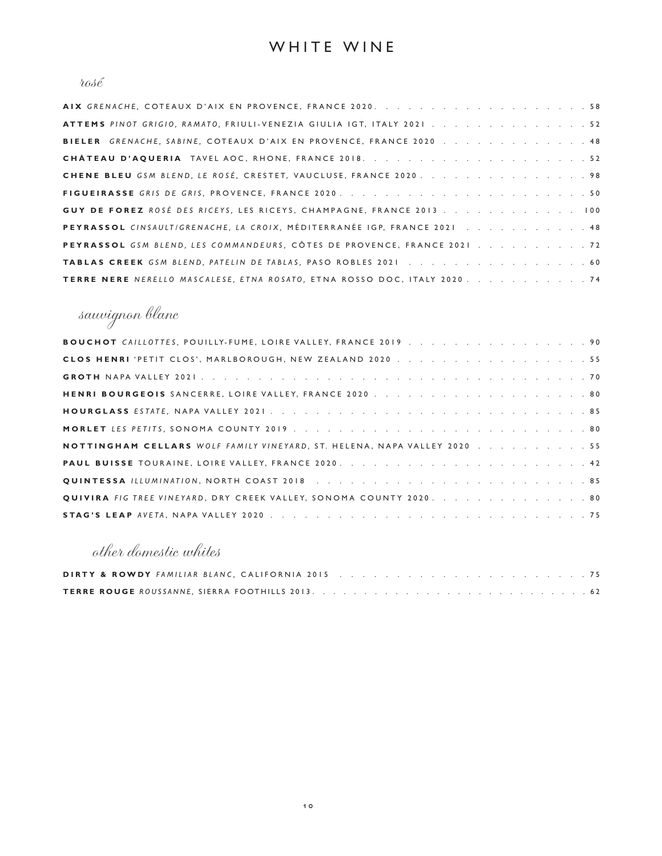#### $\iota\omega\iota\acute{e}$

| ATTEMS PINOT GRIGIO, RAMATO, FRIULI-VENEZIA GIULIA IGT, ITALY 2021 52       |
|-----------------------------------------------------------------------------|
| BIELER GRENACHE, SABINE, COTEAUX D'AIX EN PROVENCE, FRANCE 2020 48          |
|                                                                             |
| CHENE BLEU GSM BLEND, LE ROSÉ, CRESTET, VAUCLUSE, FRANCE 2020. 98           |
|                                                                             |
| <b>GUY DE FOREZ</b> ROSÉ DES RICEYS, LES RICEYS, CHAMPAGNE, FRANCE 2013 100 |
| PEYRASSOL CINSAULTIGRENACHE, LA CROIX, MÉDITERRANÉE IGP, FRANCE 2021 48     |
| PEYRASSOL GSM BLEND, LES COMMANDEURS, CÔTES DE PROVENCE, FRANCE 2021 72     |
| TABLAS CREEK GSM BLEND, PATELIN DE TABLAS, PASO ROBLES 2021 60              |
| TERRE NERE NERELLO MASCALESE, ETNA ROSATO, ETNA ROSSO DOC, ITALY 2020. 74   |

# sauvignon blanc

| BOUCHOT CAILLOTTES, POUILLY-FUME, LOIRE VALLEY, FRANCE 2019 90           |  |  |  |  |  |  |
|--------------------------------------------------------------------------|--|--|--|--|--|--|
|                                                                          |  |  |  |  |  |  |
|                                                                          |  |  |  |  |  |  |
|                                                                          |  |  |  |  |  |  |
|                                                                          |  |  |  |  |  |  |
|                                                                          |  |  |  |  |  |  |
| NOTTINGHAM CELLARS WOLF FAMILY VINEYARD, ST. HELENA, NAPA VALLEY 2020 55 |  |  |  |  |  |  |
|                                                                          |  |  |  |  |  |  |
|                                                                          |  |  |  |  |  |  |
| QUIVIRA FIG TREE VINEYARD, DRY CREEK VALLEY, SONOMA COUNTY 2020. 80      |  |  |  |  |  |  |
|                                                                          |  |  |  |  |  |  |

### other domestic whites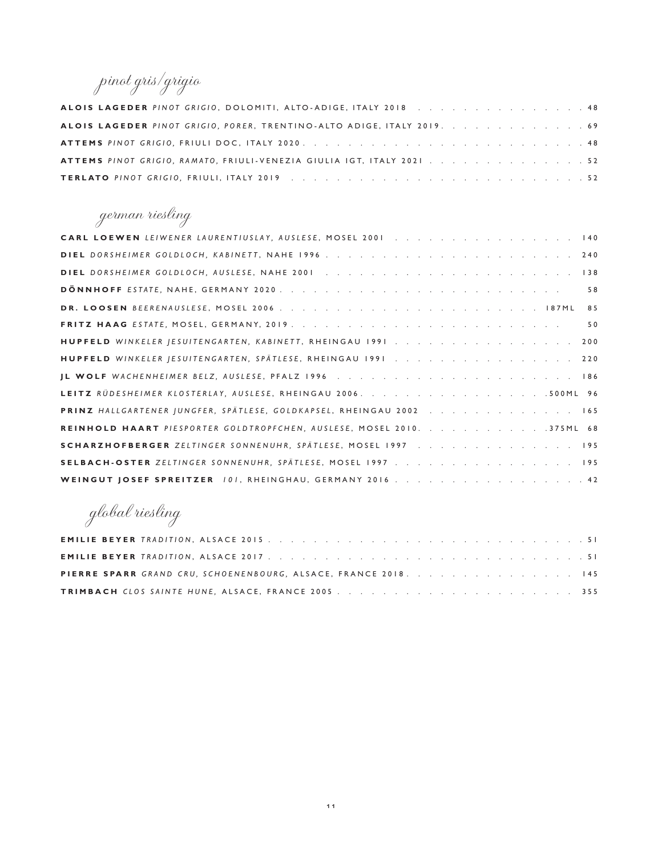### pinot gris/grigio

| ALOIS LAGEDER PINOT GRIGIO, DOLOMITI, ALTO-ADIGE, ITALY 2018 48        |  |  |  |  |  |  |
|------------------------------------------------------------------------|--|--|--|--|--|--|
| ALOIS LAGEDER PINOT GRIGIO, PORER, TRENTINO-ALTO ADIGE, ITALY 2019. 69 |  |  |  |  |  |  |
|                                                                        |  |  |  |  |  |  |
| ATTEMS PINOT GRIGIO, RAMATO, FRIULI-VENEZIA GIULIA IGT, ITALY 2021 52  |  |  |  |  |  |  |
|                                                                        |  |  |  |  |  |  |

### german riesling

| CARL LOEWEN LEIWENER LAURENTIUSLAY, AUSLESE, MOSEL 2001 140            |
|------------------------------------------------------------------------|
|                                                                        |
|                                                                        |
| 58                                                                     |
| 85                                                                     |
| 50                                                                     |
|                                                                        |
| HUPFELD WINKELER JESUITENGARTEN, SPÄTLESE, RHEINGAU 1991 220           |
|                                                                        |
|                                                                        |
| PRINZ HALLGARTENER JUNGFER, SPÄTLESE, GOLDKAPSEL, RHEINGAU 2002 165    |
| REINHOLD HAART PIESPORTER GOLDTROPFCHEN, AUSLESE, MOSEL 2010. 375ML 68 |
| SCHARZHOFBERGER ZELTINGER SONNENUHR, SPÄTLESE, MOSEL 1997 195          |
|                                                                        |
| WEINGUT JOSEF SPREITZER 101, RHEINGHAU, GERMANY 2016 42                |

global riesling

|  | PIERRE SPARR GRAND CRU, SCHOENENBOURG, ALSACE, FRANCE 2018. 145 |  |  |  |  |  |  |  |  |  |  |  |
|--|-----------------------------------------------------------------|--|--|--|--|--|--|--|--|--|--|--|
|  |                                                                 |  |  |  |  |  |  |  |  |  |  |  |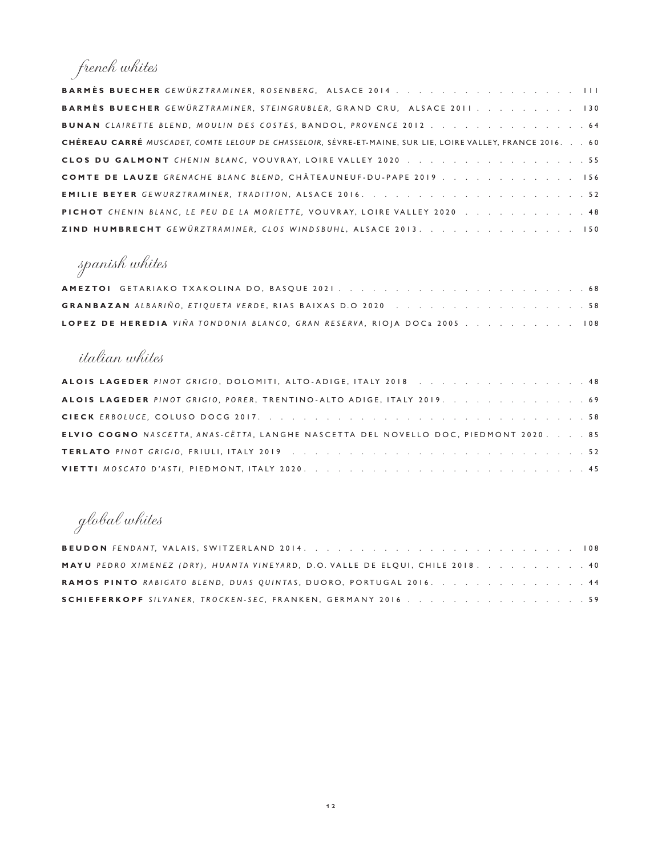# french whites

| <b>BARMÈS BUECHER</b> GEWÜRZTRAMINER, ROSENBERG, ALSACE 2014                                               |
|------------------------------------------------------------------------------------------------------------|
| <b>BARMÈS BUECHER</b> GEWÜRZTRAMINER, STEINGRUBLER, GRAND CRU, ALSACE 2011130                              |
|                                                                                                            |
| CHÉREAU CARRÉ MUSCADET. COMTE LELOUP DE CHASSELOIR. SÈVRE-ET-MAINE. SUR LIE. LOIRE VALLEY. FRANCE 2016. 60 |
|                                                                                                            |
| <b>COMTE DE LAUZE</b> GRENACHE BLANC BLEND, CHÂTEAUNEUF-DU-PAPE 2019 156                                   |
|                                                                                                            |
| PICHOT CHENIN BLANC, LE PEU DE LA MORIETTE, VOUVRAY, LOIRE VALLEY 2020 48                                  |
| ZIND HUMBRECHT GEWÜRZTRAMINER, CLOS WINDSBUHL, ALSACE 2013. 150                                            |

# spanish whites

| LOPEZ DE HEREDIA VIÑA TONDONIA BLANCO, GRAN RESERVA, RIOJA DOCa 2005 108 |  |  |  |
|--------------------------------------------------------------------------|--|--|--|

### italian whites

| ALOIS LAGEDER PINOT GRIGIO, DOLOMITI, ALTO-ADIGE, ITALY 2018 48                      |  |  |  |  |  |  |  |  |  |  |  |
|--------------------------------------------------------------------------------------|--|--|--|--|--|--|--|--|--|--|--|
| ALOIS LAGEDER PINOT GRIGIO, PORER, TRENTINO-ALTO ADIGE, ITALY 2019. 69               |  |  |  |  |  |  |  |  |  |  |  |
|                                                                                      |  |  |  |  |  |  |  |  |  |  |  |
| ELVIO COGNO NASCETTA, ANAS-CETTA, LANGHE NASCETTA DEL NOVELLO DOC, PIEDMONT 2020. 85 |  |  |  |  |  |  |  |  |  |  |  |
|                                                                                      |  |  |  |  |  |  |  |  |  |  |  |
|                                                                                      |  |  |  |  |  |  |  |  |  |  |  |

# global whites

| <b>MAYU</b> PEDRO XIMENEZ (DRY), HUANTA VINEYARD, D.O. VALLE DE ELQUI, CHILE 2018. 40 |  |  |  |  |
|---------------------------------------------------------------------------------------|--|--|--|--|
| <b>RAMOS PINTO</b> RABIGATO BLEND, DUAS QUINTAS, DUORO, PORTUGAL 2016. 44             |  |  |  |  |
| SCHIEFERKOPF SILVANER, TROCKEN-SEC, FRANKEN, GERMANY 2016 59                          |  |  |  |  |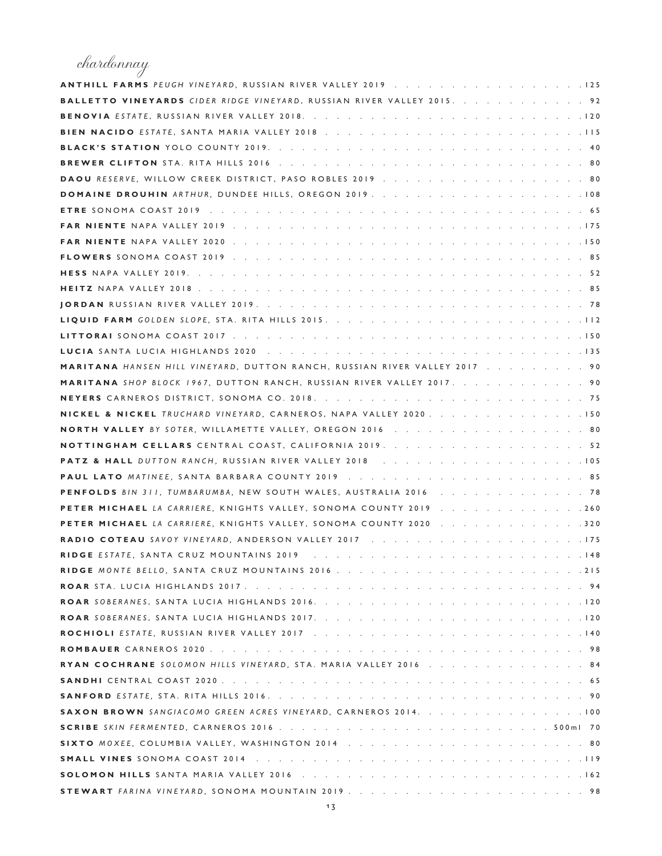# chardonnay

| ANTHILL FARMS PEUGH VINEYARD, RUSSIAN RIVER VALLEY 2019 125                      |  |
|----------------------------------------------------------------------------------|--|
| <b>BALLETTO VINEYARDS</b> CIDER RIDGE VINEYARD, RUSSIAN RIVER VALLEY 2015. 92    |  |
|                                                                                  |  |
|                                                                                  |  |
|                                                                                  |  |
|                                                                                  |  |
| DAOU RESERVE, WILLOW CREEK DISTRICT, PASO ROBLES 2019 80                         |  |
|                                                                                  |  |
|                                                                                  |  |
|                                                                                  |  |
|                                                                                  |  |
|                                                                                  |  |
|                                                                                  |  |
|                                                                                  |  |
|                                                                                  |  |
|                                                                                  |  |
|                                                                                  |  |
|                                                                                  |  |
| <b>MARITANA</b> HANSEN HILL VINEYARD, DUTTON RANCH, RUSSIAN RIVER VALLEY 2017 90 |  |
| <b>MARITANA</b> SHOP BLOCK 1967, DUTTON RANCH, RUSSIAN RIVER VALLEY 2017. 90     |  |
|                                                                                  |  |
| NICKEL & NICKEL TRUCHARD VINEYARD, CARNEROS, NAPA VALLEY 2020. 150               |  |
| NORTH VALLEY BY SOTER, WILLAMETTE VALLEY, OREGON 2016 80                         |  |
|                                                                                  |  |
|                                                                                  |  |
|                                                                                  |  |
| PENFOLDS BIN 311, TUMBARUMBA, NEW SOUTH WALES, AUSTRALIA 2016 78                 |  |
| PETER MICHAEL LA CARRIERE, KNIGHTS VALLEY, SONOMA COUNTY 2019 260                |  |
| PETER MICHAEL LA CARRIERE, KNIGHTS VALLEY, SONOMA COUNTY 2020 320                |  |
|                                                                                  |  |
|                                                                                  |  |
|                                                                                  |  |
|                                                                                  |  |
|                                                                                  |  |
|                                                                                  |  |
|                                                                                  |  |
|                                                                                  |  |
| <b>RYAN COCHRANE</b> SOLOMON HILLS VINEYARD, STA. MARIA VALLEY 2016 84           |  |
|                                                                                  |  |
|                                                                                  |  |
| SAXON BROWN SANGIACOMO GREEN ACRES VINEYARD, CARNEROS 2014. 100                  |  |
|                                                                                  |  |
|                                                                                  |  |
|                                                                                  |  |
|                                                                                  |  |
|                                                                                  |  |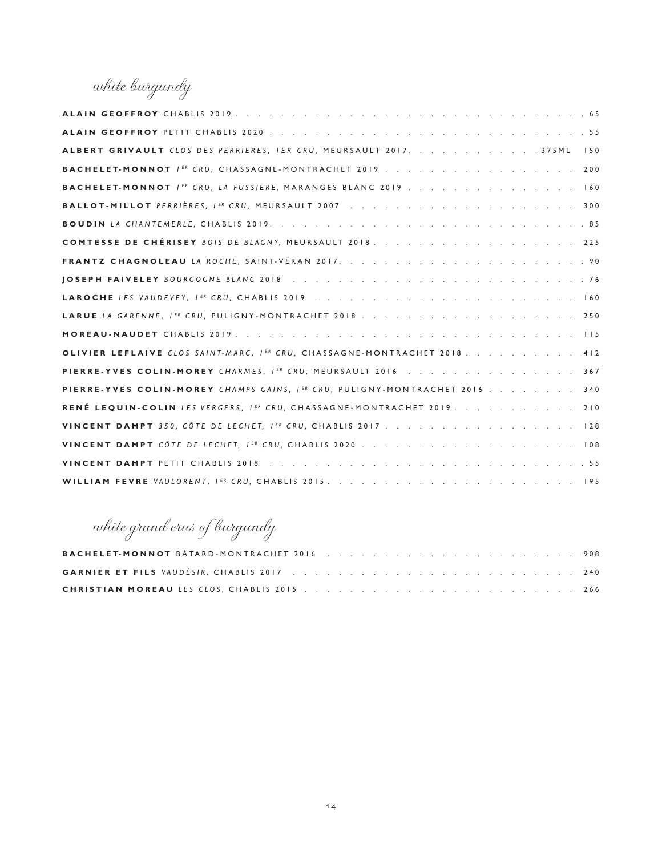white burgundy

| ALBERT GRIVAULT CLOS DES PERRIERES, IER CRU, MEURSAULT 2017. 375ML<br>150  |
|----------------------------------------------------------------------------|
| BACHELET-MONNOT / ER CRU, CHASSAGNE-MONTRACHET 2019 200                    |
| BACHELET-MONNOT IER CRU, LA FUSSIERE, MARANGES BLANC 2019 160              |
|                                                                            |
|                                                                            |
| COMTESSE DE CHÉRISEY BOIS DE BLAGNY, MEURSAULT 2018. 225                   |
|                                                                            |
|                                                                            |
|                                                                            |
|                                                                            |
|                                                                            |
| OLIVIER LEFLAIVE CLOS SAINT-MARC, IER CRU, CHASSAGNE-MONTRACHET 2018. 412  |
| PIERRE-YVES COLIN-MOREY CHARMES, IER CRU, MEURSAULT 2016 367               |
| PIERRE-YVES COLIN-MOREY CHAMPS GAINS, IER CRU, PULIGNY-MONTRACHET 2016 340 |
| RENÉ LEQUIN-COLIN LES VERGERS, IER CRU, CHASSAGNE-MONTRACHET 2019. 210     |
| VINCENT DAMPT 350, CÔTE DE LECHET, IER CRU, CHABLIS 2017 128               |
|                                                                            |
|                                                                            |
|                                                                            |

white grand crus of burgundy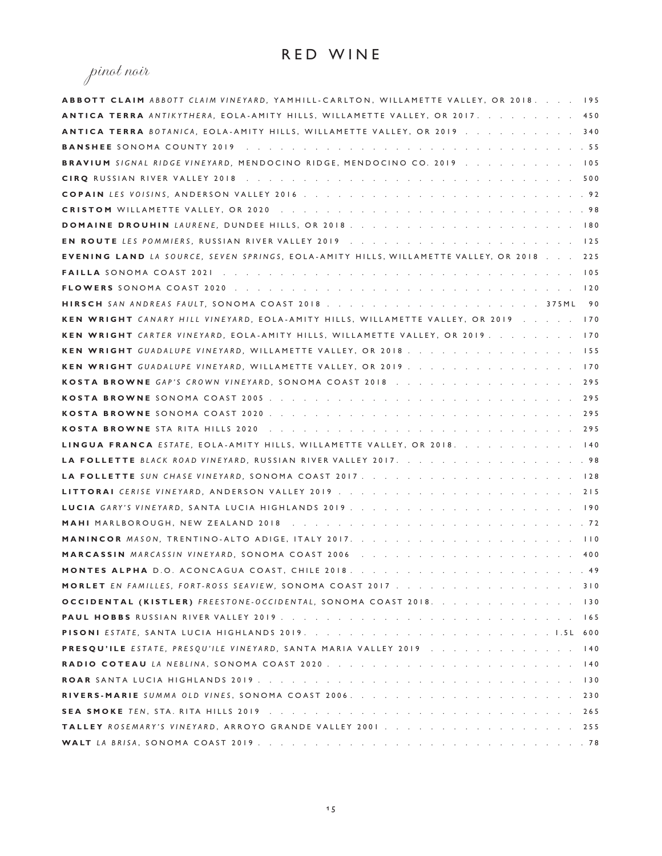# pinot noir

| ABBOTT CLAIM ABBOTT CLAIM VINEYARD, YAMHILL-CARLTON, WILLAMETTE VALLEY, OR 2018. 195    |    |
|-----------------------------------------------------------------------------------------|----|
| <b>ANTICA TERRA</b> ANTIKYTHERA, EOLA-AMITY HILLS, WILLAMETTE VALLEY, OR 2017. 450      |    |
| ANTICA TERRA BOTANICA, EOLA-AMITY HILLS, WILLAMETTE VALLEY, OR 2019 340                 |    |
|                                                                                         |    |
| BRAVIUM SIGNAL RIDGE VINEYARD, MENDOCINO RIDGE, MENDOCINO CO. 2019 105                  |    |
|                                                                                         |    |
|                                                                                         |    |
|                                                                                         |    |
|                                                                                         |    |
|                                                                                         |    |
| EVENING LAND LA SOURCE, SEVEN SPRINGS, EOLA-AMITY HILLS, WILLAMETTE VALLEY, OR 2018 225 |    |
|                                                                                         |    |
|                                                                                         |    |
|                                                                                         | 90 |
| KEN WRIGHT CANARY HILL VINEYARD, EOLA-AMITY HILLS, WILLAMETTE VALLEY, OR 2019 170       |    |
| KEN WRIGHT CARTER VINEYARD, EOLA-AMITY HILLS, WILLAMETTE VALLEY, OR 2019. 170           |    |
| KEN WRIGHT GUADALUPE VINEYARD, WILLAMETTE VALLEY, OR 2018. 155                          |    |
| KEN WRIGHT GUADALUPE VINEYARD, WILLAMETTE VALLEY, OR 2019 170                           |    |
| KOSTA BROWNE GAP'S CROWN VINEYARD, SONOMA COAST 2018 295                                |    |
|                                                                                         |    |
|                                                                                         |    |
|                                                                                         |    |
| LINGUA FRANCA ESTATE, EOLA-AMITY HILLS, WILLAMETTE VALLEY, OR 2018. 140                 |    |
| LA FOLLETTE BLACK ROAD VINEYARD, RUSSIAN RIVER VALLEY 2017. 98                          |    |
|                                                                                         |    |
|                                                                                         |    |
|                                                                                         |    |
|                                                                                         |    |
|                                                                                         |    |
|                                                                                         |    |
|                                                                                         |    |
| MORLET EN FAMILLES, FORT-ROSS SEAVIEW, SONOMA COAST 2017 310                            |    |
| OCCIDENTAL (KISTLER) FREESTONE-OCCIDENTAL, SONOMA COAST 2018. 130                       |    |
|                                                                                         |    |
|                                                                                         |    |
| PRESQU'ILE ESTATE, PRESQU'ILE VINEYARD, SANTA MARIA VALLEY 2019 140                     |    |
|                                                                                         |    |
|                                                                                         |    |
|                                                                                         |    |
|                                                                                         |    |
| TALLEY ROSEMARY'S VINEYARD, ARROYO GRANDE VALLEY 2001. 255                              |    |
|                                                                                         |    |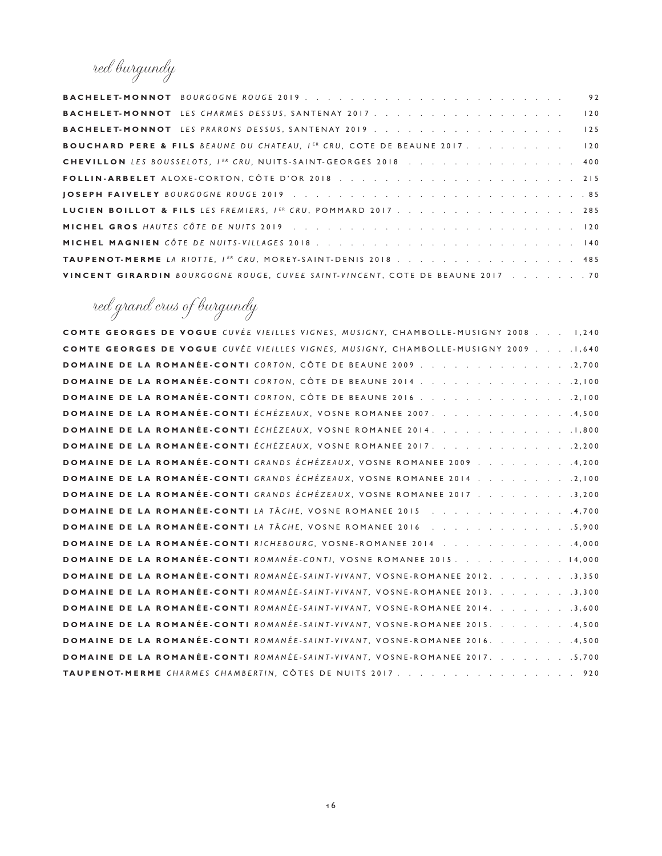red burgundy

|                                                                                      | 92  |
|--------------------------------------------------------------------------------------|-----|
| <b>BACHELET-MONNOT</b> LES CHARMES DESSUS, SANTENAY 2017.                            | 120 |
|                                                                                      | 125 |
| <b>BOUCHARD PERE &amp; FILS BEAUNE DU CHATEAU, IER CRU, COTE DE BEAUNE 2017.</b> 120 |     |
| CHEVILLON LES BOUSSELOTS, IER CRU, NUITS-SAINT-GEORGES 2018 400                      |     |
|                                                                                      |     |
|                                                                                      |     |
| LUCIEN BOILLOT & FILS LES FREMIERS, IER CRU, POMMARD 2017. 285                       |     |
|                                                                                      |     |
|                                                                                      |     |
| TAUPENOT-MERME LA RIOTTE, IER CRU, MOREY-SAINT-DENIS 2018 485                        |     |
| VINCENT GIRARDIN BOURGOGNE ROUGE, CUVEE SAINT-VINCENT, COTE DE BEAUNE 2017 70        |     |

red grand crus of burgundy

| <b>COMTE GEORGES DE VOGUE</b> CUVÉE VIEILLES VIGNES, MUSIGNY, CHAMBOLLE-MUSIGNY 2008 1.240 |
|--------------------------------------------------------------------------------------------|
| COMTE GEORGES DE VOGUE CUVÉE VIEILLES VIGNES, MUSIGNY, CHAMBOLLE-MUSIGNY 2009 1,640        |
|                                                                                            |
| DOMAINE DE LA ROMANÉE-CONTI CORTON, CÔTE DE BEAUNE 2014 2,100                              |
|                                                                                            |
| DOMAINE DE LA ROMANÉE-CONTI ÉCHÉZEAUX, VOSNE ROMANEE 2007. 4,500                           |
| DOMAINE DE LA ROMANÉE-CONTI ÉCHÉZEAUX, VOSNE ROMANEE 2014. 1,800                           |
| DOMAINE DE LA ROMANÉE-CONTI ÉCHÉZEAUX, VOSNE ROMANEE 2017. 2,200                           |
| DOMAINE DE LA ROMANÉE-CONTI GRANDS ÉCHÉZEAUX, VOSNE ROMANEE 2009 4,200                     |
| DOMAINE DE LA ROMANÉE-CONTI GRANDS ÉCHÉZEAUX, VOSNE ROMANEE 2014 2,100                     |
| DOMAINE DE LA ROMANÉE-CONTI GRANDS ÉCHÉZEAUX, VOSNE ROMANEE 2017 3,200                     |
| DOMAINE DE LA ROMANÉE-CONTI LA TÂCHE, VOSNE ROMANEE 2015 4,700                             |
|                                                                                            |
| DOMAINE DE LA ROMANÉE-CONTI RICHEBOURG, VOSNE-ROMANEE 2014 4,000                           |
| <b>DOMAINE DE LA ROMANÉE-CONTI</b> ROMANÉE-CONTI, VOSNE ROMANEE 2015. 14,000               |
| <b>DOMAINE DE LA ROMANÉE-CONTI</b> ROMANÉE-SAINT-VIVANT, VOSNE-ROMANEE 2012. 3,350         |
| DOMAINE DE LA ROMANÉE-CONTI ROMANÉE-SAINT-VIVANT, VOSNE-ROMANEE 2013. 3,300                |
| DOMAINE DE LA ROMANÉE-CONTI ROMANÉE-SAINT-VIVANT, VOSNE-ROMANEE 2014. 3,600                |
| DOMAINE DE LA ROMANÉE-CONTI ROMANÉE-SAINT-VIVANT, VOSNE-ROMANEE 2015. 4,500                |
| DOMAINE DE LA ROMANÉE-CONTI ROMANÉE-SAINT-VIVANT, VOSNE-ROMANEE 2016. 4,500                |
| DOMAINE DE LA ROMANÉE-CONTI ROMANÉE-SAINT-VIVANT, VOSNE-ROMANEE 2017. 5,700                |
| TAUPENOT-MERME CHARMES CHAMBERTIN, CÔTES DE NUITS 2017 920                                 |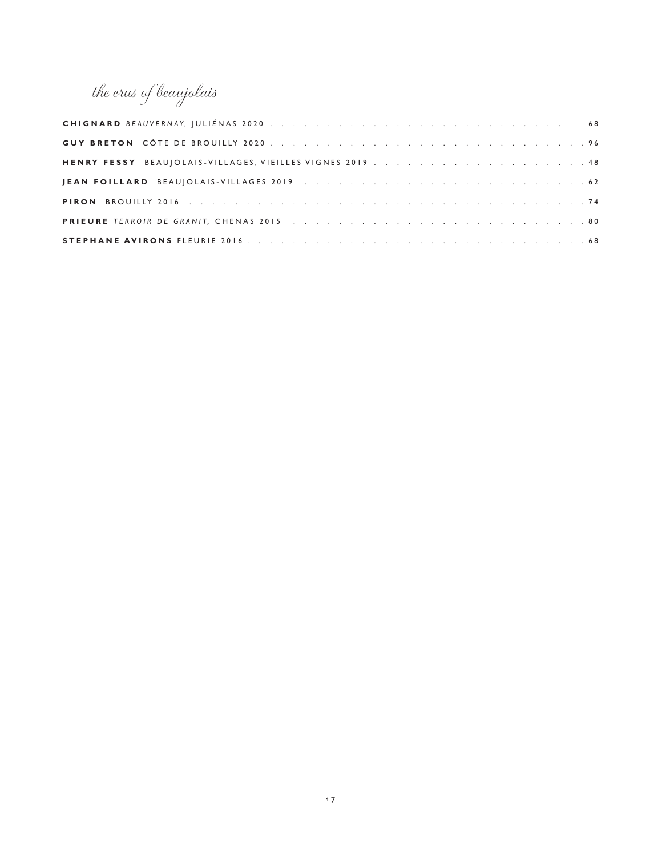the crus of beaujolais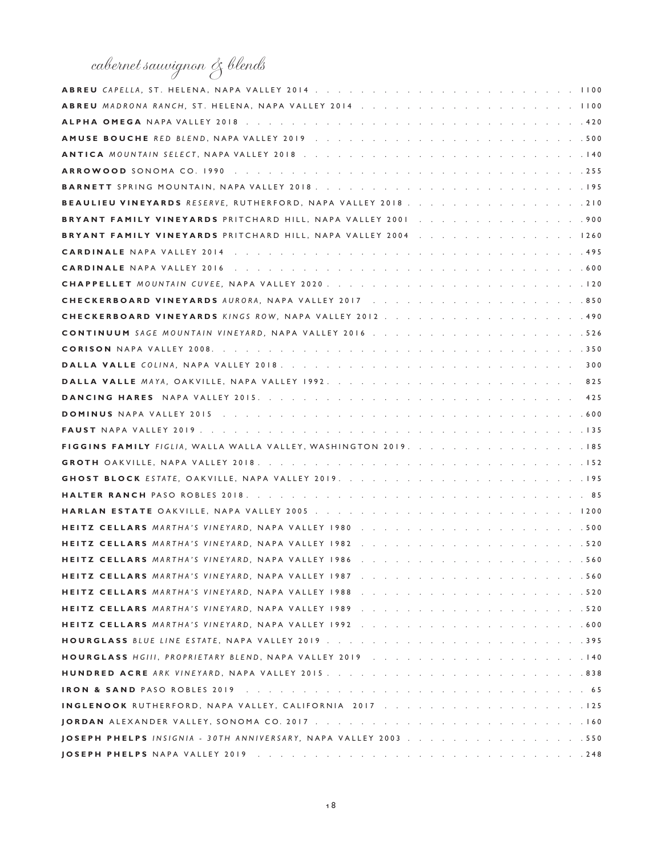# cabernet sauvignon & blends

| BEAULIEU VINEYARDS RESERVE, RUTHERFORD, NAPA VALLEY 2018 210    |
|-----------------------------------------------------------------|
|                                                                 |
| BRYANT FAMILY VINEYARDS PRITCHARD HILL, NAPA VALLEY 2004 1260   |
|                                                                 |
|                                                                 |
|                                                                 |
|                                                                 |
|                                                                 |
|                                                                 |
|                                                                 |
|                                                                 |
|                                                                 |
|                                                                 |
|                                                                 |
|                                                                 |
| FIGGINS FAMILY FIGLIA, WALLA WALLA VALLEY, WASHINGTON 2019. 185 |
|                                                                 |
|                                                                 |
|                                                                 |
|                                                                 |
|                                                                 |
|                                                                 |
|                                                                 |
|                                                                 |
|                                                                 |
|                                                                 |
|                                                                 |
|                                                                 |
|                                                                 |
|                                                                 |
|                                                                 |
| INGLENOOK RUTHERFORD, NAPA VALLEY, CALIFORNIA 2017 125          |
|                                                                 |
|                                                                 |
|                                                                 |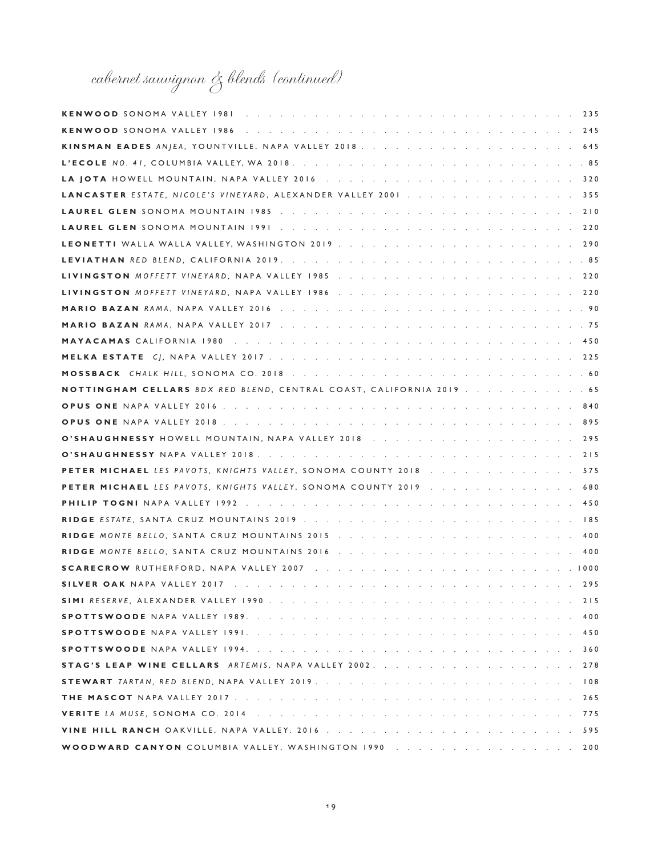# cabernet sauvignon & blends (continued)

| LANCASTER ESTATE, NICOLE'S VINEYARD, ALEXANDER VALLEY 2001 355                                                                                                                                                                          |
|-----------------------------------------------------------------------------------------------------------------------------------------------------------------------------------------------------------------------------------------|
|                                                                                                                                                                                                                                         |
|                                                                                                                                                                                                                                         |
|                                                                                                                                                                                                                                         |
|                                                                                                                                                                                                                                         |
|                                                                                                                                                                                                                                         |
|                                                                                                                                                                                                                                         |
|                                                                                                                                                                                                                                         |
|                                                                                                                                                                                                                                         |
|                                                                                                                                                                                                                                         |
|                                                                                                                                                                                                                                         |
|                                                                                                                                                                                                                                         |
| NOTTINGHAM CELLARS BDX RED BLEND, CENTRAL COAST, CALIFORNIA 2019 65                                                                                                                                                                     |
|                                                                                                                                                                                                                                         |
|                                                                                                                                                                                                                                         |
|                                                                                                                                                                                                                                         |
|                                                                                                                                                                                                                                         |
| PETER MICHAEL LES PAVOTS, KNIGHTS VALLEY, SONOMA COUNTY 2018 575                                                                                                                                                                        |
| PETER MICHAEL LES PAVOTS, KNIGHTS VALLEY, SONOMA COUNTY 2019 680                                                                                                                                                                        |
|                                                                                                                                                                                                                                         |
|                                                                                                                                                                                                                                         |
|                                                                                                                                                                                                                                         |
| 400                                                                                                                                                                                                                                     |
|                                                                                                                                                                                                                                         |
| SILVER OAK NAPA VALLEY 2017 The Collect Property of the Collect Property of the Collection Collection Collection Collection Collection Collection Collection Collection Collection Collection Collection Collection Collection<br>. 295 |
| 215                                                                                                                                                                                                                                     |
| 400                                                                                                                                                                                                                                     |
| 450                                                                                                                                                                                                                                     |
| 360                                                                                                                                                                                                                                     |
|                                                                                                                                                                                                                                         |
|                                                                                                                                                                                                                                         |
| 265                                                                                                                                                                                                                                     |
|                                                                                                                                                                                                                                         |
|                                                                                                                                                                                                                                         |
| WOODWARD CANYON COLUMBIA VALLEY, WASHINGTON 1990 200                                                                                                                                                                                    |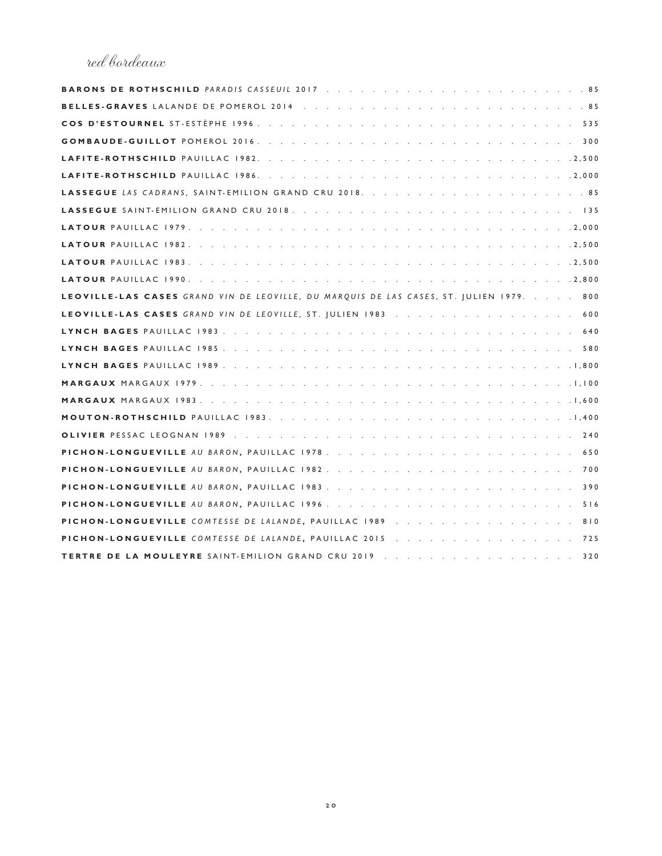#### red bordeaux

| LEOVILLE-LAS CASES GRAND VIN DE LEOVILLE, DU MARQUIS DE LAS CASES, ST.  ULIEN 1979. 800 |
|-----------------------------------------------------------------------------------------|
| LEOVILLE-LAS CASES GRAND VIN DE LEOVILLE, ST. JULIEN 1983 600                           |
|                                                                                         |
|                                                                                         |
|                                                                                         |
|                                                                                         |
|                                                                                         |
|                                                                                         |
|                                                                                         |
|                                                                                         |
|                                                                                         |
|                                                                                         |
|                                                                                         |
|                                                                                         |
| PICHON-LONGUEVILLE COMTESSE DE LALANDE, PAUILLAC 1989 810                               |
|                                                                                         |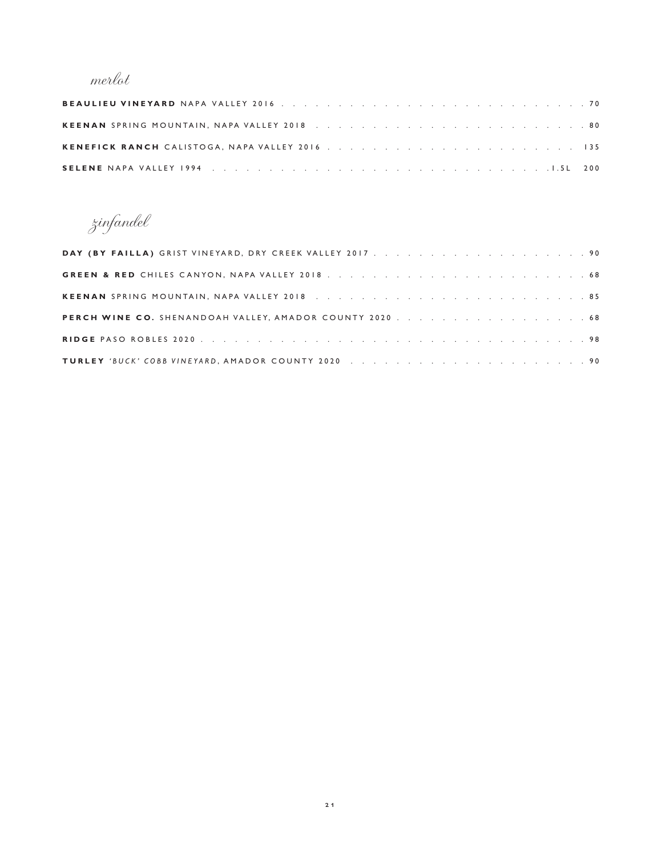### merlot

zinfandel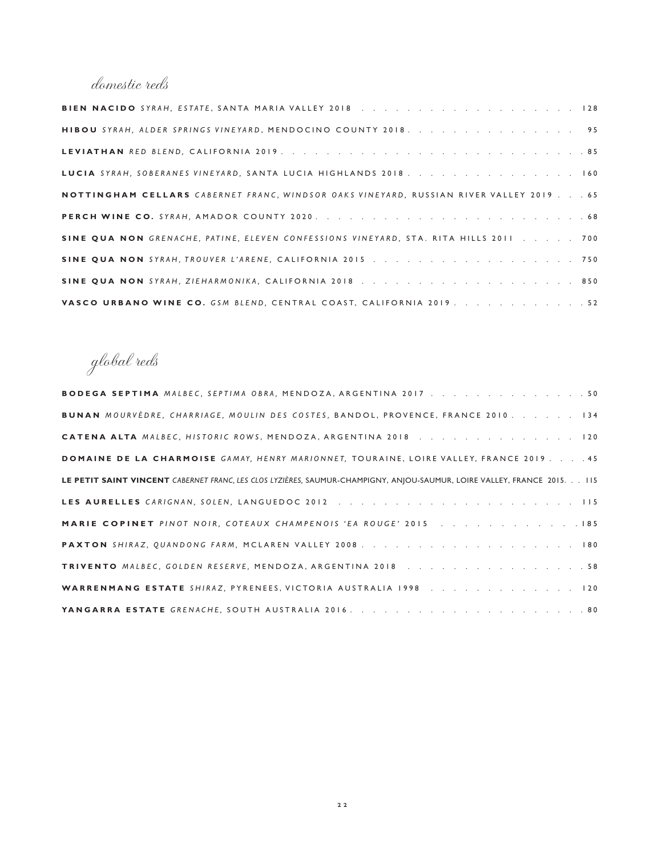#### domestic reds

| HIBOU SYRAH, ALDER SPRINGS VINEYARD, MENDOCINO COUNTY 2018. 95                        |
|---------------------------------------------------------------------------------------|
|                                                                                       |
| LUCIA SYRAH, SOBERANES VINEYARD, SANTA LUCIA HIGHLANDS 2018. 160                      |
| NOTTINGHAM CELLARS CABERNET FRANC, WINDSOR OAKS VINEYARD, RUSSIAN RIVER VALLEY 201965 |
|                                                                                       |
| SINE QUA NON GRENACHE, PATINE, ELEVEN CONFESSIONS VINEYARD, STA. RITA HILLS 2011 700  |
|                                                                                       |
|                                                                                       |
| VASCO URBANO WINE CO. GSM BLEND, CENTRAL COAST, CALIFORNIA 2019. 52                   |

global reds

| <b>BODEGA SEPTIMA</b> MALBEC, SEPTIMA OBRA, MENDOZA, ARGENTINA 2017 50                                                   |
|--------------------------------------------------------------------------------------------------------------------------|
| <b>BUNAN</b> MOURVEDRE, CHARRIAGE, MOULIN DES COSTES, BANDOL, PROVENCE, FRANCE 2010. 134                                 |
| CATENA ALTA MALBEC, HISTORIC ROWS, MENDOZA, ARGENTINA 2018 120                                                           |
| DOMAINE DE LA CHARMOISE GAMAY, HENRY MARIONNET, TOURAINE, LOIRE VALLEY, FRANCE 2019 45                                   |
| LE PETIT SAINT VINCENT CABERNET FRANC, LES CLOS LYZIÈRES, SAUMUR-CHAMPIGNY, ANIOU-SAUMUR, LOIRE VALLEY, FRANCE 2015. 115 |
|                                                                                                                          |
| MARIE COPINET PINOT NOIR, COTEAUX CHAMPENOIS 'EA ROUGE' 2015 185                                                         |
|                                                                                                                          |
|                                                                                                                          |
| WARRENMANG ESTATE SHIRAZ, PYRENEES, VICTORIA AUSTRALIA 1998 120                                                          |
|                                                                                                                          |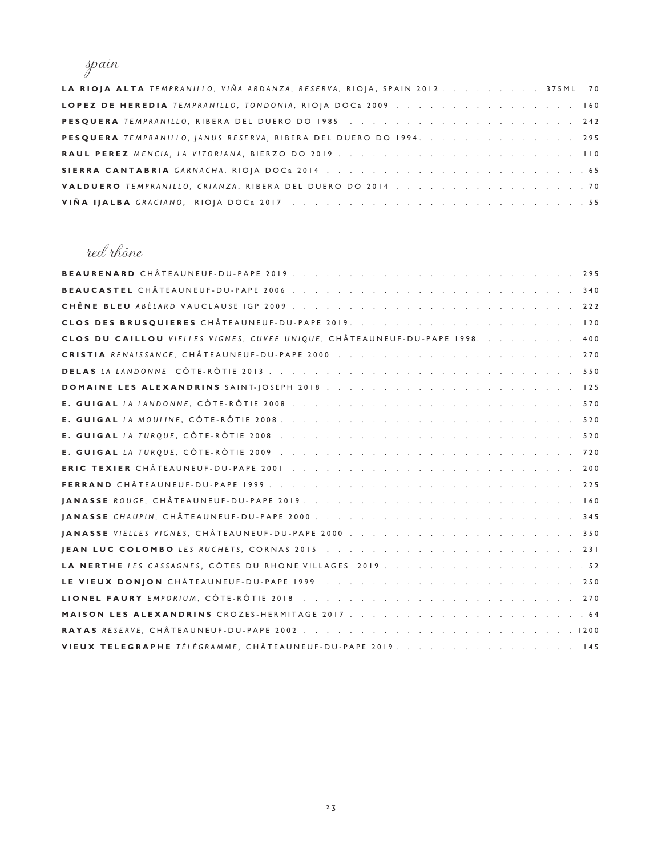### spain

| LA RIOJA ALTA TEMPRANILLO, VIÑA ARDANZA, RESERVA, RIOJA, SPAIN 2012. 375ML 70 |  |
|-------------------------------------------------------------------------------|--|
| LOPEZ DE HEREDIA TEMPRANILLO, TONDONIA, RIOJA DOCa 2009 160                   |  |
|                                                                               |  |
| PESQUERA TEMPRANILLO, JANUS RESERVA, RIBERA DEL DUERO DO 1994. 295            |  |
|                                                                               |  |
|                                                                               |  |
| VALDUERO TEMPRANILLO, CRIANZA, RIBERA DEL DUERO DO 2014 70                    |  |
|                                                                               |  |

#### red rhône

| CLOS DU CAILLOU VIELLES VIGNES, CUVEE UNIQUE, CHÂTEAUNEUF-DU-PAPE 1998. 400 |
|-----------------------------------------------------------------------------|
|                                                                             |
|                                                                             |
|                                                                             |
|                                                                             |
|                                                                             |
|                                                                             |
|                                                                             |
|                                                                             |
|                                                                             |
|                                                                             |
|                                                                             |
|                                                                             |
|                                                                             |
|                                                                             |
|                                                                             |
|                                                                             |
|                                                                             |
|                                                                             |
| VIEUX TELEGRAPHE TÉLÉGRAMME, CHÂTEAUNEUF-DU-PAPE 2019. 145                  |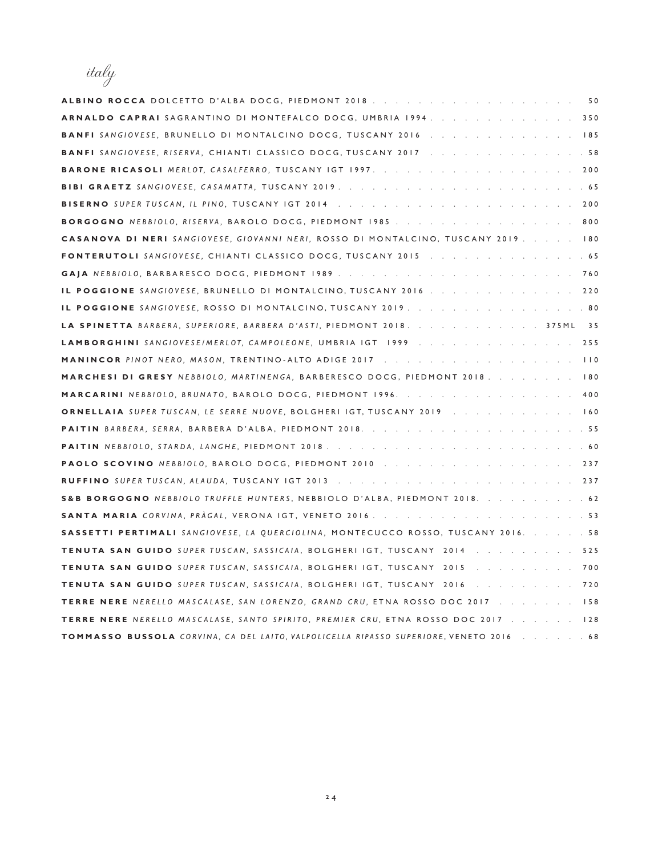| italy                                                                                    |
|------------------------------------------------------------------------------------------|
| ALBINO ROCCA DOLCETTO D'ALBA DOCG, PIEDMONT 2018. 50                                     |
| ARNALDO CAPRAI SAGRANTINO DI MONTEFALCO DOCG, UMBRIA 1994.<br>. 350                      |
| <b>BANFI</b> SANGIOVESE, BRUNELLO DI MONTALCINO DOCG, TUSCANY 2016<br>$\therefore$ 185   |
| <b>BANFI</b> SANGIOVESE, RISERVA, CHIANTI CLASSICO DOCG, TUSCANY 2017<br>. 58            |
| <b>BARONE RICASOLI</b> MERLOT, CASALFERRO, TUSCANY IGT 1997.<br>200                      |
| BIBI GRAETZ SANGIOVESE, CASAMATTA, TUSCANY 2019.<br>.65                                  |
| BISERNO SUPER TUSCAN, IL PINO, TUSCANY IGT 2014<br>200                                   |
| <b>BORGOGNO</b> NEBBIOLO, RISERVA, BAROLO DOCG, PIEDMONT 1985<br>. 800                   |
| <b>CASANOVA DI NERI</b> SANGIOVESE, GIOVANNI NERI, ROSSO DI MONTALCINO, TUSCANY 2019 180 |
| <b>FONTERUTOLI</b> SANGIOVESE, CHIANTI CLASSICO DOCG, TUSCANY 2015<br>. 65               |
| GAJA NEBBIOLO, BARBARESCO DOCG, PIEDMONT 1989<br>760                                     |
| IL POGGIONE SANGIOVESE, BRUNELLO DI MONTALCINO, TUSCANY 2016<br>220                      |
| IL POGGIONE SANGIOVESE, ROSSO DI MONTALCINO, TUSCANY 2019.<br>.80                        |
| LA SPINETTA BARBERA, SUPERIORE, BARBERA D'ASTI, PIEDMONT 2018.<br>35<br>375 M L          |
| LAMBORGHINI SANGIOVESE/MERLOT, CAMPOLEONE, UMBRIA IGT 1999<br>$\cdot$ 255                |
| <b>MANINCOR</b> PINOT NERO, MASON, TRENTINO-ALTO ADIGE 2017<br>$\vert$ $\vert$ 0         |
| MARCHESI DI GRESY NEBBIOLO, MARTINENGA, BARBERESCO DOCG, PIEDMONT 2018.<br>$\sqrt{80}$   |
| <b>MARCARINI</b> NEBBIOLO, BRUNATO, BAROLO DOCG, PIEDMONT 1996.<br>. 400                 |
| <b>ORNELLAIA</b> SUPER TUSCAN, LE SERRE NUOVE, BOLGHERI IGT, TUSCANY 2019<br>160         |
| <b>PAITIN</b> BARBERA, SERRA, BARBERA D'ALBA, PIEDMONT 2018.<br>. 55                     |
| PAITIN NEBBIOLO, STARDA, LANGHE, PIEDMONT 2018.<br>. 60                                  |
| <b>PAOLO SCOVINO</b> NEBBIOLO, BAROLO DOCG, PIEDMONT 2010<br>237                         |
| <b>RUFFINO</b> SUPER TUSCAN, ALAUDA, TUSCANY IGT 2013<br>237                             |
| S&B BORGOGNO NEBBIOLO TRUFFLE HUNTERS, NEBBIOLO D'ALBA, PIEDMONT 2018.<br>. 62           |
| <b>SANTA MARIA</b> CORVINA, PRAGAL, VERONA IGT, VENETO 2016.<br>. 53                     |
| SASSETTI PERTIMALI SANGIOVESE, LA QUERCIOLINA, MONTECUCCO ROSSO, TUSCANY 2016.<br>. 58   |
| <b>TENUTA SAN GUIDO</b> SUPER TUSCAN, SASSICAIA, BOLGHERI IGT, TUSCANY 2014<br>525       |
| TENUTA SAN GUIDO SUPER TUSCAN, SASSICAIA, BOLGHERI IGT, TUSCANY 2015 700                 |
| TENUTA SAN GUIDO SUPER TUSCAN, SASSICAIA, BOLGHERI IGT, TUSCANY 2016<br>720              |
| <b>TERRE NERE</b> NERELLO MASCALASE, SAN LORENZO, GRAND CRU, ETNA ROSSO DOC 2017 158     |
| <b>TERRE NERE</b> NERELLO MASCALASE, SANTO SPIRITO, PREMIER CRU, ETNA ROSSO DOC 2017 128 |
| TOMMASSO BUSSOLA CORVINA, CA DEL LAITO, VALPOLICELLA RIPASSO SUPERIORE, VENETO 2016 68   |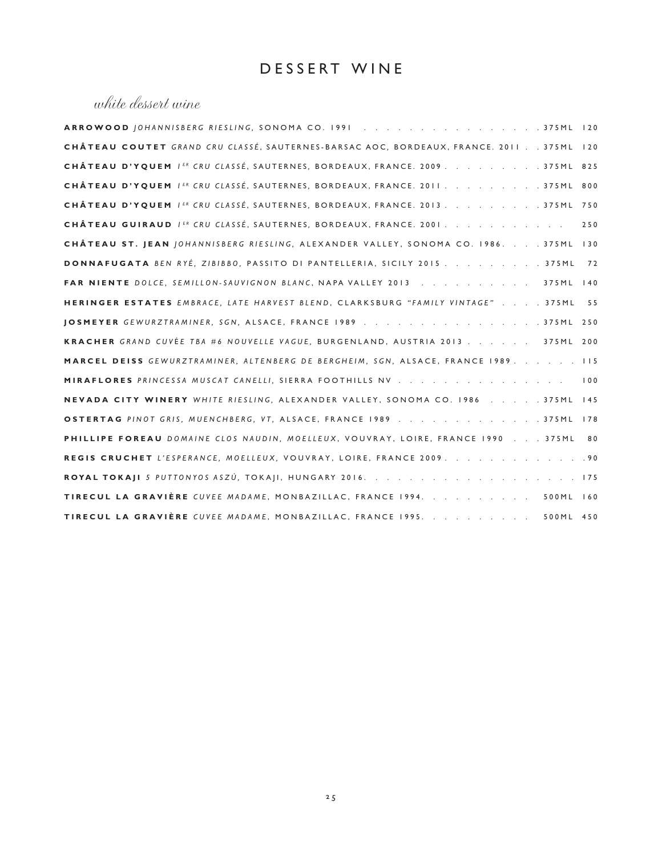#### DESSERT WINE

#### white dessert wine

| ARROWOOD JOHANNISBERG RIESLING, SONOMA CO. 1991375ML 120                                |  |
|-----------------------------------------------------------------------------------------|--|
| CHÂTEAU COUTET GRAND CRU CLASSÉ, SAUTERNES-BARSAC AOC, BORDEAUX, FRANCE. 2011 375ML 120 |  |
| CHÂTEAU D'YQUEM IER CRU CLASSÉ, SAUTERNES, BORDEAUX, FRANCE. 2009. 375ML 825            |  |
| CHÂTEAU D'YQUEM IER CRU CLASSÉ, SAUTERNES, BORDEAUX, FRANCE. 2011. 375ML 800            |  |
| CHÂTEAU D'YQUEM / ER CRU CLASSÉ, SAUTERNES, BORDEAUX, FRANCE. 2013. 375ML 750           |  |
| CHÂTEAU GUIRAUD I <sup>ER</sup> CRU CLASSÉ, SAUTERNES, BORDEAUX, FRANCE. 2001.<br>250   |  |
| CHÂTEAU ST. JEAN JOHANNISBERG RIESLING, ALEXANDER VALLEY, SONOMA CO. 1986. 375ML 130    |  |
| DONNAFUGATA BEN RYÉ, ZIBIBBO, PASSITO DI PANTELLERIA, SICILY 2015 375ML<br>72           |  |
| FAR NIENTE DOLCE, SEMILLON-SAUVIGNON BLANC, NAPA VALLEY 2013 375ML 140                  |  |
| HERINGER ESTATES EMBRACE, LATE HARVEST BLEND, CLARKSBURG "FAMILY VINTAGE" 375ML<br>55   |  |
|                                                                                         |  |
| KRACHER GRAND CUVÉE TBA #6 NOUVELLE VAGUE, BURGENLAND, AUSTRIA 2013 375ML 200           |  |
| MARCEL DEISS GEWURZTRAMINER, ALTENBERG DE BERGHEIM, SGN, ALSACE, FRANCE 1989. 115       |  |
| MIRAFLORES PRINCESSA MUSCAT CANELLI, SIERRA FOOTHILLS NV<br>100                         |  |
| NEVADA CITY WINERY WHITE RIESLING, ALEXANDER VALLEY, SONOMA CO. 1986 375ML 145          |  |
| OSTERTAG PINOT GRIS, MUENCHBERG, VT, ALSACE, FRANCE 1989 375ML 178                      |  |
| PHILLIPE FOREAU DOMAINE CLOS NAUDIN, MOELLEUX, VOUVRAY, LOIRE, FRANCE 1990 375ML 80     |  |
| REGIS CRUCHET L'ESPERANCE, MOELLEUX, VOUVRAY, LOIRE, FRANCE 2009. 90                    |  |
|                                                                                         |  |
| TIRECUL LA GRAVIÈRE CUVEE MADAME, MONBAZILLAC, FRANCE 1994. 500ML 160                   |  |
| TIRECUL LA GRAVIÈRE CUVEE MADAME, MONBAZILLAC, FRANCE 1995. 500ML 450                   |  |